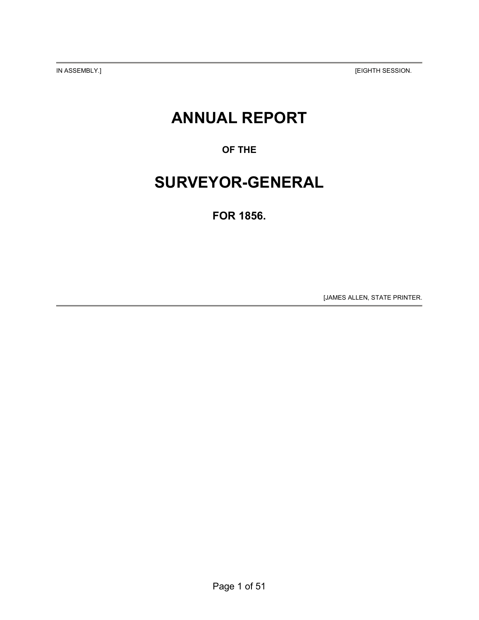IN ASSEMBLY.] [EIGHTH SESSION.

# **ANNUAL REPORT**

**OF THE** 

# **SURVEYOR-GENERAL**

**FOR 1856.** 

[JAMES ALLEN, STATE PRINTER.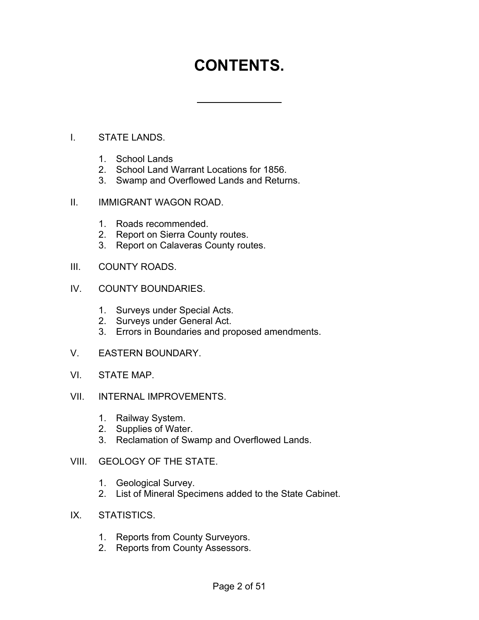# **CONTENTS.**

- I. STATE LANDS.
	- 1. School Lands
	- 2. School Land Warrant Locations for 1856.
	- 3. Swamp and Overflowed Lands and Returns.
- II. IMMIGRANT WAGON ROAD.
	- 1. Roads recommended.
	- 2. Report on Sierra County routes.
	- 3. Report on Calaveras County routes.
- III. COUNTY ROADS.
- IV. COUNTY BOUNDARIES.
	- 1. Surveys under Special Acts.
	- 2. Surveys under General Act.
	- 3. Errors in Boundaries and proposed amendments.
- V. EASTERN BOUNDARY.
- VI. STATE MAP.
- VII. INTERNAL IMPROVEMENTS.
	- 1. Railway System.
	- 2. Supplies of Water.
	- 3. Reclamation of Swamp and Overflowed Lands.
- VIII. GEOLOGY OF THE STATE.
	- 1. Geological Survey.
	- 2. List of Mineral Specimens added to the State Cabinet.
- IX. STATISTICS.
	- 1. Reports from County Surveyors.
	- 2. Reports from County Assessors.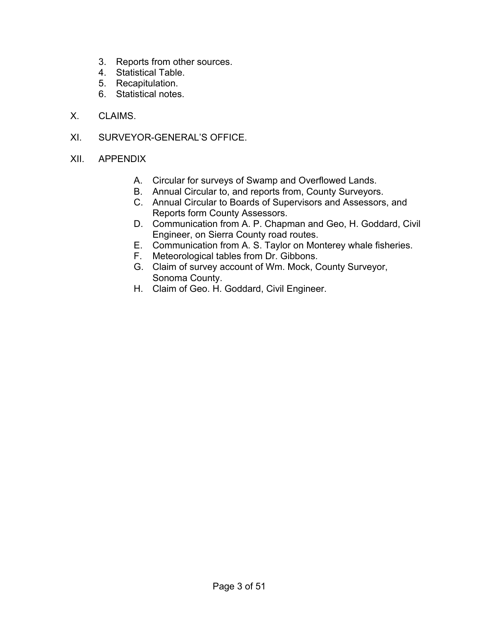- 3. Reports from other sources.
- 4. Statistical Table.
- 5. Recapitulation.
- 6. Statistical notes.
- X. CLAIMS.
- XI. SURVEYOR-GENERAL'S OFFICE.
- XII. APPENDIX
	- A. Circular for surveys of Swamp and Overflowed Lands.
	- B. Annual Circular to, and reports from, County Surveyors.
	- C. Annual Circular to Boards of Supervisors and Assessors, and Reports form County Assessors.
	- D. Communication from A. P. Chapman and Geo, H. Goddard, Civil Engineer, on Sierra County road routes.
	- E. Communication from A. S. Taylor on Monterey whale fisheries.
	- F. Meteorological tables from Dr. Gibbons.
	- G. Claim of survey account of Wm. Mock, County Surveyor, Sonoma County.
	- H. Claim of Geo. H. Goddard, Civil Engineer.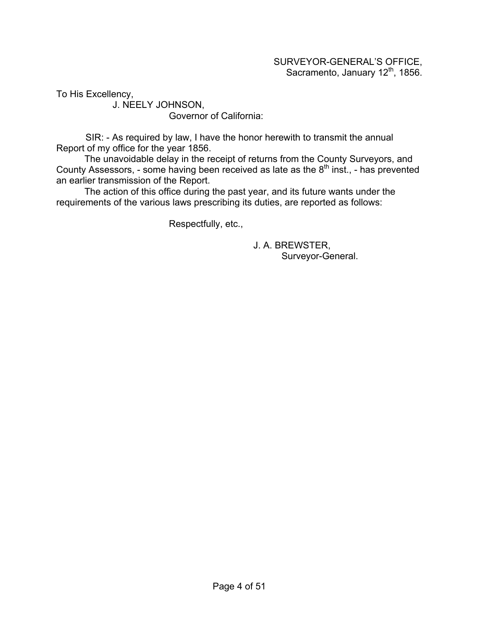# SURVEYOR-GENERAL'S OFFICE, Sacramento, January 12<sup>th</sup>, 1856.

To His Excellency,

 J. NEELY JOHNSON, Governor of California:

SIR: - As required by law, I have the honor herewith to transmit the annual Report of my office for the year 1856.

The unavoidable delay in the receipt of returns from the County Surveyors, and County Assessors, - some having been received as late as the  $8<sup>th</sup>$  inst., - has prevented an earlier transmission of the Report.

The action of this office during the past year, and its future wants under the requirements of the various laws prescribing its duties, are reported as follows:

Respectfully, etc.,

 J. A. BREWSTER, Surveyor-General.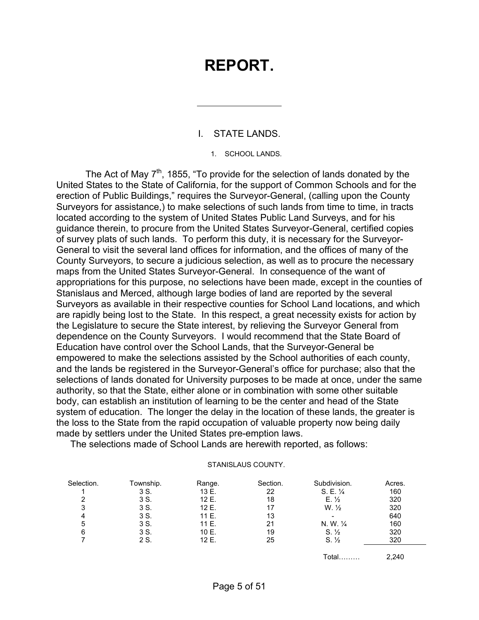# **REPORT.**

# I. STATE LANDS.

l

1. SCHOOL LANDS.

The Act of May  $7<sup>th</sup>$ , 1855, "To provide for the selection of lands donated by the United States to the State of California, for the support of Common Schools and for the erection of Public Buildings," requires the Surveyor-General, (calling upon the County Surveyors for assistance,) to make selections of such lands from time to time, in tracts located according to the system of United States Public Land Surveys, and for his guidance therein, to procure from the United States Surveyor-General, certified copies of survey plats of such lands. To perform this duty, it is necessary for the Surveyor-General to visit the several land offices for information, and the offices of many of the County Surveyors, to secure a judicious selection, as well as to procure the necessary maps from the United States Surveyor-General. In consequence of the want of appropriations for this purpose, no selections have been made, except in the counties of Stanislaus and Merced, although large bodies of land are reported by the several Surveyors as available in their respective counties for School Land locations, and which are rapidly being lost to the State. In this respect, a great necessity exists for action by the Legislature to secure the State interest, by relieving the Surveyor General from dependence on the County Surveyors. I would recommend that the State Board of Education have control over the School Lands, that the Surveyor-General be empowered to make the selections assisted by the School authorities of each county, and the lands be registered in the Surveyor-General's office for purchase; also that the selections of lands donated for University purposes to be made at once, under the same authority, so that the State, either alone or in combination with some other suitable body, can establish an institution of learning to be the center and head of the State system of education. The longer the delay in the location of these lands, the greater is the loss to the State from the rapid occupation of valuable property now being daily made by settlers under the United States pre-emption laws.

The selections made of School Lands are herewith reported, as follows:

#### STANISLAUS COUNTY.

| Selection. | Township. | Range. | Section. | Subdivision.     | Acres. |
|------------|-----------|--------|----------|------------------|--------|
|            | 3 S.      | 13 E.  | 22       | S. E. 1/4        | 160    |
|            | 3 S.      | 12 E.  | 18       | $E. \frac{1}{2}$ | 320    |
| 3          | 3 S.      | 12 E.  | 17       | $W. \frac{1}{2}$ | 320    |
|            | 3 S.      | 11 E.  | 13       |                  | 640    |
| 5          | 3 S.      | 11 E.  | 21       | N. W. 1/4        | 160    |
| 6          | 3 S.      | 10 E.  | 19       | $S. \frac{1}{2}$ | 320    |
|            | 2 S.      | 12 E.  | 25       | $S. \frac{1}{2}$ | 320    |
|            |           |        |          | Total            | 2,240  |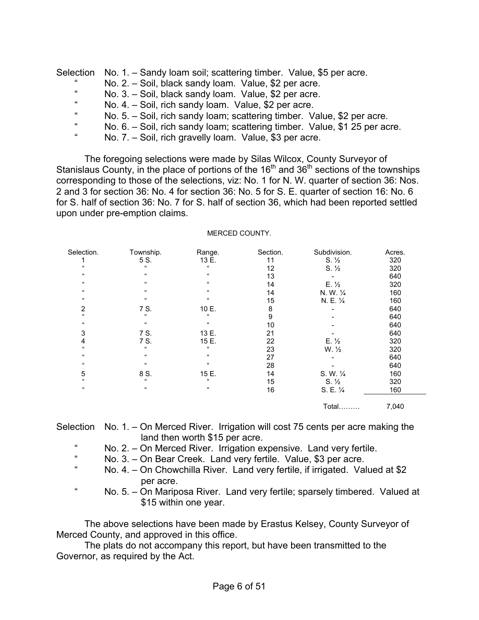Selection No. 1. – Sandy loam soil; scattering timber. Value, \$5 per acre.

- " No. 2. Soil, black sandy loam. Value, \$2 per acre.<br>"
- " No. 3. Soil, black sandy loam. Value, \$2 per acre.
- " No. 4. Soil, rich sandy loam. Value, \$2 per acre.
- " No. 5. Soil, rich sandy loam; scattering timber. Value, \$2 per acre.
- " No. 6. Soil, rich sandy loam; scattering timber. Value, \$1 25 per acre.<br>"
- No. 7. Soil, rich gravelly loam. Value, \$3 per acre.

The foregoing selections were made by Silas Wilcox, County Surveyor of Stanislaus County, in the place of portions of the 16<sup>th</sup> and 36<sup>th</sup> sections of the townships corresponding to those of the selections, viz: No. 1 for N. W. quarter of section 36: Nos. 2 and 3 for section 36: No. 4 for section 36: No. 5 for S. E. quarter of section 16: No. 6 for S. half of section 36: No. 7 for S. half of section 36, which had been reported settled upon under pre-emption claims.

| Selection.           | Township.                              | Range.                                 | Section. | Subdivision.                   | Acres. |
|----------------------|----------------------------------------|----------------------------------------|----------|--------------------------------|--------|
|                      | 5 S.                                   | 13 E.                                  | 11       | $S. \frac{1}{2}$               | 320    |
| $\Omega$             | $\pmb{\mathfrak{c}}\pmb{\mathfrak{c}}$ | $\pmb{\mathfrak{c}}\pmb{\mathfrak{c}}$ | 12       | $S. \frac{1}{2}$               | 320    |
| $\epsilon\epsilon$   | $\pmb{\mathfrak{c}}$                   | $\alpha$                               | 13       |                                | 640    |
| $\epsilon\epsilon$   | $\pmb{\mathfrak{u}}$                   | $\alpha$                               | 14       | $E. \frac{1}{2}$               | 320    |
| $\pmb{\mathfrak{c}}$ | $\pmb{\mathfrak{c}}\pmb{\mathfrak{c}}$ | $\alpha$                               | 14       | N.W. 1/4                       | 160    |
| $\pmb{\mathfrak{c}}$ | $\pmb{\mathfrak{c}}\pmb{\mathfrak{c}}$ | $\pmb{\mathfrak{c}}\pmb{\mathfrak{c}}$ | 15       | N. E. 1/4                      | 160    |
| 2                    | 7 S.                                   | 10 E.                                  | 8        |                                | 640    |
| $\Omega$             | $\pmb{\mathfrak{c}}$                   | $\pmb{\epsilon}$                       | 9        |                                | 640    |
| $\alpha$             | $\alpha$                               | $\pmb{\mathfrak{c}}\pmb{\mathfrak{c}}$ | 10       |                                | 640    |
| 3                    | 7 S.                                   | 13 E.                                  | 21       |                                | 640    |
| 4                    | 7 S.                                   | 15 E.                                  | 22       | $E. \frac{1}{2}$               | 320    |
| $\Omega$             | $\pmb{\mathfrak{c}}$                   | $\epsilon$                             | 23       | W. <sup>1</sup> / <sub>2</sub> | 320    |
| $\epsilon\epsilon$   | $\pmb{\mathfrak{c}}$                   | $\alpha$                               | 27       |                                | 640    |
| $\epsilon\epsilon$   | $\pmb{\mathfrak{c}}\pmb{\mathfrak{c}}$ | $\pmb{\mathfrak{c}}\pmb{\mathfrak{c}}$ | 28       |                                | 640    |
| 5                    | 8 S.                                   | 15 E.                                  | 14       | S. W. 1/4                      | 160    |
| $\epsilon\epsilon$   | $\pmb{\mathfrak{c}}\pmb{\mathfrak{c}}$ | $\epsilon$                             | 15       | $S. \frac{1}{2}$               | 320    |
| $\Omega$             | $\pmb{\mathfrak{c}}$                   | $\alpha$                               | 16       | S. E. 1/4                      | 160    |
|                      |                                        |                                        |          | $Total$                        | 7.040  |

#### MERCED COUNTY.

- Selection No. 1. On Merced River. Irrigation will cost 75 cents per acre making the land then worth \$15 per acre.
	- " No. 2. On Merced River. Irrigation expensive. Land very fertile.<br>"
	- " No. 3. On Bear Creek. Land very fertile. Value, \$3 per acre.
	- No. 4. On Chowchilla River. Land very fertile, if irrigated. Valued at \$2 per acre.
	- " No. 5. On Mariposa River. Land very fertile; sparsely timbered. Valued at \$15 within one year.

The above selections have been made by Erastus Kelsey, County Surveyor of Merced County, and approved in this office.

The plats do not accompany this report, but have been transmitted to the Governor, as required by the Act.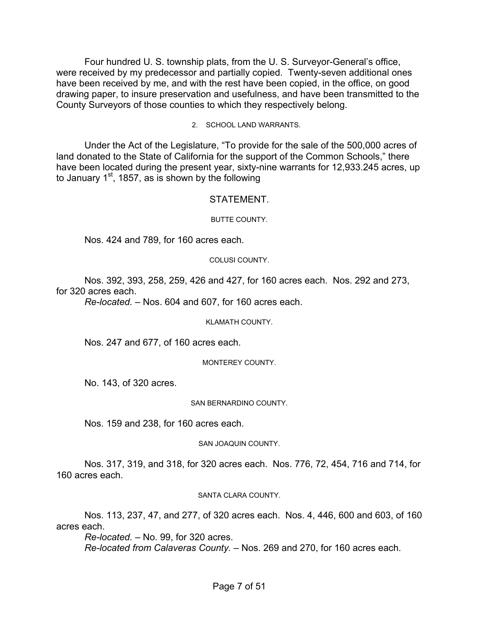Four hundred U. S. township plats, from the U. S. Surveyor-General's office, were received by my predecessor and partially copied. Twenty-seven additional ones have been received by me, and with the rest have been copied, in the office, on good drawing paper, to insure preservation and usefulness, and have been transmitted to the County Surveyors of those counties to which they respectively belong.

#### 2. SCHOOL LAND WARRANTS.

Under the Act of the Legislature, "To provide for the sale of the 500,000 acres of land donated to the State of California for the support of the Common Schools," there have been located during the present year, sixty-nine warrants for 12,933.245 acres, up to January  $1<sup>st</sup>$ , 1857, as is shown by the following

#### **STATEMENT**

#### BUTTE COUNTY.

Nos. 424 and 789, for 160 acres each.

COLUSI COUNTY.

Nos. 392, 393, 258, 259, 426 and 427, for 160 acres each. Nos. 292 and 273, for 320 acres each.

*Re-located.* – Nos. 604 and 607, for 160 acres each.

KLAMATH COUNTY.

Nos. 247 and 677, of 160 acres each.

MONTEREY COUNTY.

No. 143, of 320 acres.

SAN BERNARDINO COUNTY.

Nos. 159 and 238, for 160 acres each.

#### SAN JOAQUIN COUNTY.

Nos. 317, 319, and 318, for 320 acres each. Nos. 776, 72, 454, 716 and 714, for 160 acres each.

SANTA CLARA COUNTY.

Nos. 113, 237, 47, and 277, of 320 acres each. Nos. 4, 446, 600 and 603, of 160 acres each.

*Re-located.* – No. 99, for 320 acres.

*Re-located from Calaveras County.* – Nos. 269 and 270, for 160 acres each.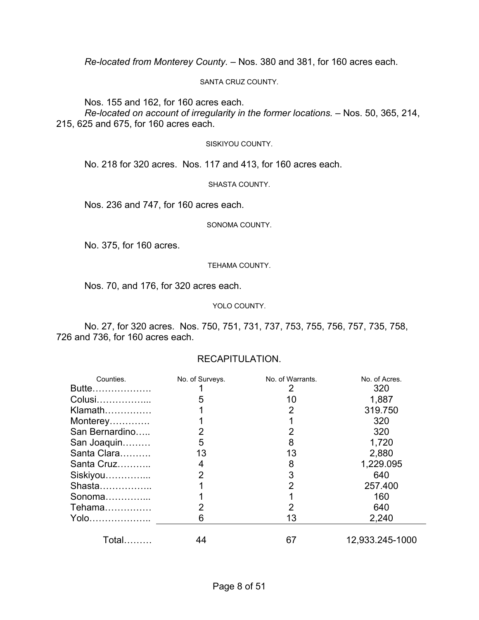*Re-located from Monterey County.* – Nos. 380 and 381, for 160 acres each.

SANTA CRUZ COUNTY.

Nos. 155 and 162, for 160 acres each.

*Re-located on account of irregularity in the former locations.* – Nos. 50, 365, 214, 215, 625 and 675, for 160 acres each.

SISKIYOU COUNTY.

No. 218 for 320 acres. Nos. 117 and 413, for 160 acres each.

SHASTA COUNTY.

Nos. 236 and 747, for 160 acres each.

SONOMA COUNTY.

No. 375, for 160 acres.

TEHAMA COUNTY.

Nos. 70, and 176, for 320 acres each.

YOLO COUNTY.

No. 27, for 320 acres. Nos. 750, 751, 731, 737, 753, 755, 756, 757, 735, 758, 726 and 736, for 160 acres each.

### RECAPITULATION.

| Counties.      | No. of Surveys. | No. of Warrants. | No. of Acres.   |
|----------------|-----------------|------------------|-----------------|
| Butte          |                 |                  | 320             |
| Colusi         | 5               | 10               | 1,887           |
| Klamath        |                 | 2                | 319.750         |
| Monterey       |                 |                  | 320             |
| San Bernardino |                 | 2                | 320             |
| San Joaquin    | 5               | 8                | 1,720           |
| Santa Clara    | 13              | 13               | 2,880           |
| Santa Cruz     | 4               | 8                | 1,229.095       |
| Siskiyou       | 2               | 3                | 640             |
| Shasta         |                 | 2                | 257.400         |
| Sonoma         |                 |                  | 160             |
| Tehama         |                 | 2                | 640             |
| Yolo           | 6               | 13               | 2,240           |
|                |                 |                  |                 |
| Total          | 44              | 67               | 12,933.245-1000 |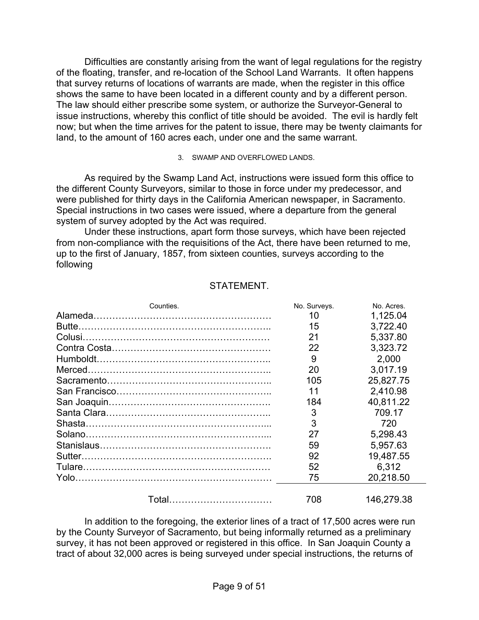Difficulties are constantly arising from the want of legal regulations for the registry of the floating, transfer, and re-location of the School Land Warrants. It often happens that survey returns of locations of warrants are made, when the register in this office shows the same to have been located in a different county and by a different person. The law should either prescribe some system, or authorize the Surveyor-General to issue instructions, whereby this conflict of title should be avoided. The evil is hardly felt now; but when the time arrives for the patent to issue, there may be twenty claimants for land, to the amount of 160 acres each, under one and the same warrant.

#### 3. SWAMP AND OVERFLOWED LANDS.

As required by the Swamp Land Act, instructions were issued form this office to the different County Surveyors, similar to those in force under my predecessor, and were published for thirty days in the California American newspaper, in Sacramento. Special instructions in two cases were issued, where a departure from the general system of survey adopted by the Act was required.

Under these instructions, apart form those surveys, which have been rejected from non-compliance with the requisitions of the Act, there have been returned to me, up to the first of January, 1857, from sixteen counties, surveys according to the following

# STATEMENT.

| Counties. | No. Surveys. | No. Acres. |
|-----------|--------------|------------|
|           | 10           | 1,125.04   |
| Butte.    | 15           | 3,722.40   |
|           | 21           | 5,337.80   |
|           | 22           | 3,323.72   |
|           | 9            | 2,000      |
|           | 20           | 3,017.19   |
|           | 105          | 25,827.75  |
|           | 11           | 2,410.98   |
|           | 184          | 40,811.22  |
|           | 3            | 709.17     |
|           | 3            | 720        |
|           | 27           | 5,298.43   |
|           | 59           | 5,957.63   |
|           | 92           | 19,487.55  |
|           | 52           | 6,312      |
|           | 75           | 20,218.50  |
|           |              |            |
| Total     | 708          | 146,279.38 |

 In addition to the foregoing, the exterior lines of a tract of 17,500 acres were run by the County Surveyor of Sacramento, but being informally returned as a preliminary survey, it has not been approved or registered in this office. In San Joaquin County a tract of about 32,000 acres is being surveyed under special instructions, the returns of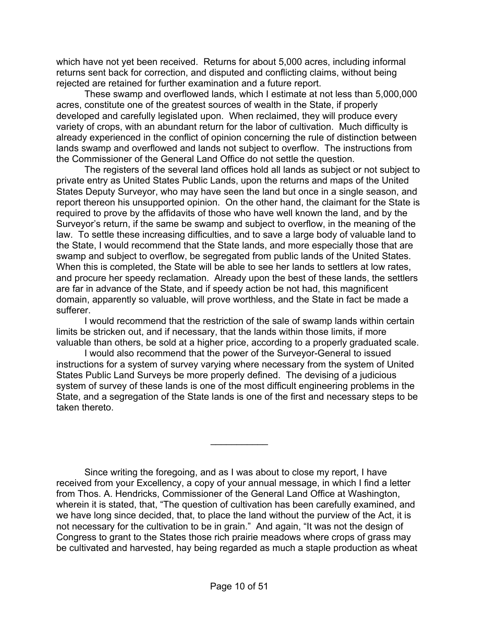which have not yet been received. Returns for about 5,000 acres, including informal returns sent back for correction, and disputed and conflicting claims, without being rejected are retained for further examination and a future report.

 These swamp and overflowed lands, which I estimate at not less than 5,000,000 acres, constitute one of the greatest sources of wealth in the State, if properly developed and carefully legislated upon. When reclaimed, they will produce every variety of crops, with an abundant return for the labor of cultivation. Much difficulty is already experienced in the conflict of opinion concerning the rule of distinction between lands swamp and overflowed and lands not subject to overflow. The instructions from the Commissioner of the General Land Office do not settle the question.

 The registers of the several land offices hold all lands as subject or not subject to private entry as United States Public Lands, upon the returns and maps of the United States Deputy Surveyor, who may have seen the land but once in a single season, and report thereon his unsupported opinion. On the other hand, the claimant for the State is required to prove by the affidavits of those who have well known the land, and by the Surveyor's return, if the same be swamp and subject to overflow, in the meaning of the law. To settle these increasing difficulties, and to save a large body of valuable land to the State, I would recommend that the State lands, and more especially those that are swamp and subject to overflow, be segregated from public lands of the United States. When this is completed, the State will be able to see her lands to settlers at low rates, and procure her speedy reclamation. Already upon the best of these lands, the settlers are far in advance of the State, and if speedy action be not had, this magnificent domain, apparently so valuable, will prove worthless, and the State in fact be made a sufferer.

 I would recommend that the restriction of the sale of swamp lands within certain limits be stricken out, and if necessary, that the lands within those limits, if more valuable than others, be sold at a higher price, according to a properly graduated scale.

 I would also recommend that the power of the Surveyor-General to issued instructions for a system of survey varying where necessary from the system of United States Public Land Surveys be more properly defined. The devising of a judicious system of survey of these lands is one of the most difficult engineering problems in the State, and a segregation of the State lands is one of the first and necessary steps to be taken thereto.

 $\frac{1}{2}$ 

 Since writing the foregoing, and as I was about to close my report, I have received from your Excellency, a copy of your annual message, in which I find a letter from Thos. A. Hendricks, Commissioner of the General Land Office at Washington, wherein it is stated, that, "The question of cultivation has been carefully examined, and we have long since decided, that, to place the land without the purview of the Act, it is not necessary for the cultivation to be in grain." And again, "It was not the design of Congress to grant to the States those rich prairie meadows where crops of grass may be cultivated and harvested, hay being regarded as much a staple production as wheat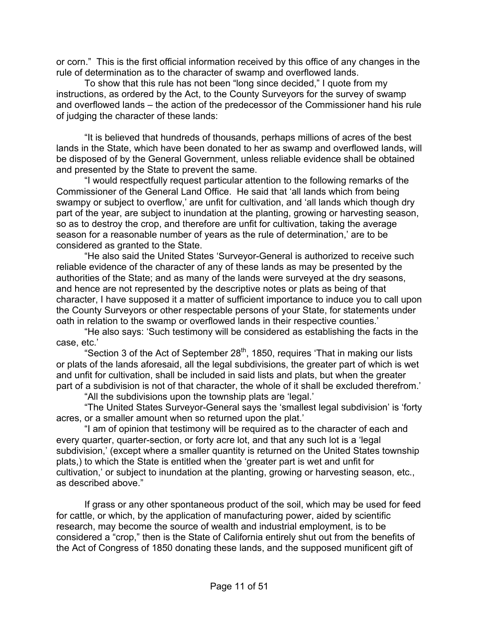or corn." This is the first official information received by this office of any changes in the rule of determination as to the character of swamp and overflowed lands.

 To show that this rule has not been "long since decided," I quote from my instructions, as ordered by the Act, to the County Surveyors for the survey of swamp and overflowed lands – the action of the predecessor of the Commissioner hand his rule of judging the character of these lands:

 "It is believed that hundreds of thousands, perhaps millions of acres of the best lands in the State, which have been donated to her as swamp and overflowed lands, will be disposed of by the General Government, unless reliable evidence shall be obtained and presented by the State to prevent the same.

 "I would respectfully request particular attention to the following remarks of the Commissioner of the General Land Office. He said that 'all lands which from being swampy or subject to overflow,' are unfit for cultivation, and 'all lands which though dry part of the year, are subject to inundation at the planting, growing or harvesting season, so as to destroy the crop, and therefore are unfit for cultivation, taking the average season for a reasonable number of years as the rule of determination,' are to be considered as granted to the State.

 "He also said the United States 'Surveyor-General is authorized to receive such reliable evidence of the character of any of these lands as may be presented by the authorities of the State; and as many of the lands were surveyed at the dry seasons, and hence are not represented by the descriptive notes or plats as being of that character, I have supposed it a matter of sufficient importance to induce you to call upon the County Surveyors or other respectable persons of your State, for statements under oath in relation to the swamp or overflowed lands in their respective counties.'

 "He also says: 'Such testimony will be considered as establishing the facts in the case, etc.'

"Section 3 of the Act of September  $28<sup>th</sup>$ , 1850, requires 'That in making our lists or plats of the lands aforesaid, all the legal subdivisions, the greater part of which is wet and unfit for cultivation, shall be included in said lists and plats, but when the greater part of a subdivision is not of that character, the whole of it shall be excluded therefrom.'

"All the subdivisions upon the township plats are 'legal.'

 "The United States Surveyor-General says the 'smallest legal subdivision' is 'forty acres, or a smaller amount when so returned upon the plat.'

 "I am of opinion that testimony will be required as to the character of each and every quarter, quarter-section, or forty acre lot, and that any such lot is a 'legal subdivision,' (except where a smaller quantity is returned on the United States township plats,) to which the State is entitled when the 'greater part is wet and unfit for cultivation,' or subject to inundation at the planting, growing or harvesting season, etc., as described above."

 If grass or any other spontaneous product of the soil, which may be used for feed for cattle, or which, by the application of manufacturing power, aided by scientific research, may become the source of wealth and industrial employment, is to be considered a "crop," then is the State of California entirely shut out from the benefits of the Act of Congress of 1850 donating these lands, and the supposed munificent gift of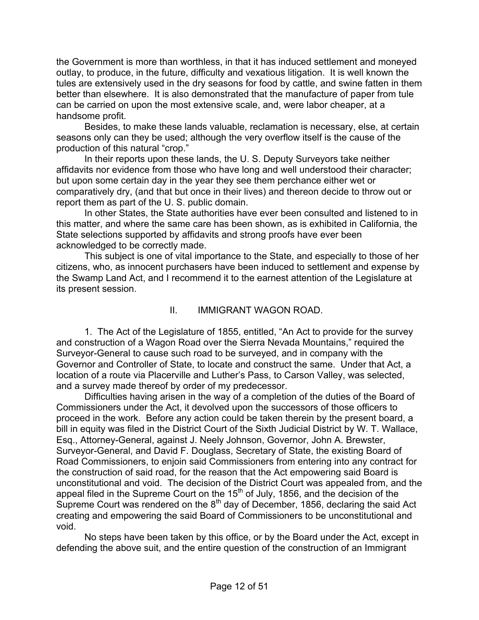the Government is more than worthless, in that it has induced settlement and moneyed outlay, to produce, in the future, difficulty and vexatious litigation. It is well known the tules are extensively used in the dry seasons for food by cattle, and swine fatten in them better than elsewhere. It is also demonstrated that the manufacture of paper from tule can be carried on upon the most extensive scale, and, were labor cheaper, at a handsome profit.

 Besides, to make these lands valuable, reclamation is necessary, else, at certain seasons only can they be used; although the very overflow itself is the cause of the production of this natural "crop."

 In their reports upon these lands, the U. S. Deputy Surveyors take neither affidavits nor evidence from those who have long and well understood their character; but upon some certain day in the year they see them perchance either wet or comparatively dry, (and that but once in their lives) and thereon decide to throw out or report them as part of the U. S. public domain.

 In other States, the State authorities have ever been consulted and listened to in this matter, and where the same care has been shown, as is exhibited in California, the State selections supported by affidavits and strong proofs have ever been acknowledged to be correctly made.

 This subject is one of vital importance to the State, and especially to those of her citizens, who, as innocent purchasers have been induced to settlement and expense by the Swamp Land Act, and I recommend it to the earnest attention of the Legislature at its present session.

# II. IMMIGRANT WAGON ROAD.

1. The Act of the Legislature of 1855, entitled, "An Act to provide for the survey and construction of a Wagon Road over the Sierra Nevada Mountains," required the Surveyor-General to cause such road to be surveyed, and in company with the Governor and Controller of State, to locate and construct the same. Under that Act, a location of a route via Placerville and Luther's Pass, to Carson Valley, was selected, and a survey made thereof by order of my predecessor.

 Difficulties having arisen in the way of a completion of the duties of the Board of Commissioners under the Act, it devolved upon the successors of those officers to proceed in the work. Before any action could be taken therein by the present board, a bill in equity was filed in the District Court of the Sixth Judicial District by W. T. Wallace, Esq., Attorney-General, against J. Neely Johnson, Governor, John A. Brewster, Surveyor-General, and David F. Douglass, Secretary of State, the existing Board of Road Commissioners, to enjoin said Commissioners from entering into any contract for the construction of said road, for the reason that the Act empowering said Board is unconstitutional and void. The decision of the District Court was appealed from, and the appeal filed in the Supreme Court on the  $15<sup>th</sup>$  of July, 1856, and the decision of the Supreme Court was rendered on the  $8<sup>th</sup>$  day of December, 1856, declaring the said Act creating and empowering the said Board of Commissioners to be unconstitutional and void.

 No steps have been taken by this office, or by the Board under the Act, except in defending the above suit, and the entire question of the construction of an Immigrant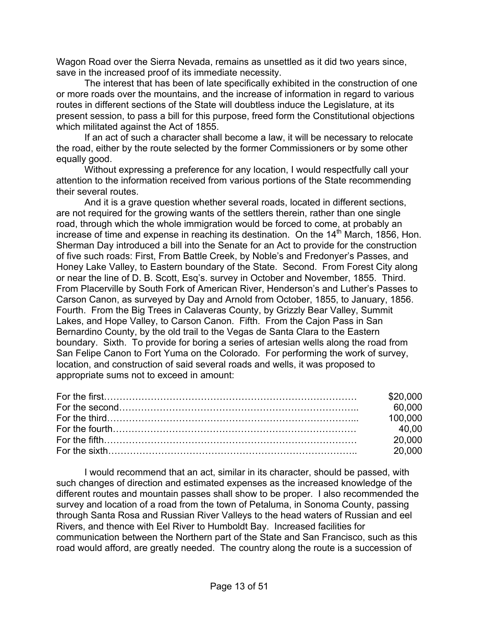Wagon Road over the Sierra Nevada, remains as unsettled as it did two years since, save in the increased proof of its immediate necessity.

 The interest that has been of late specifically exhibited in the construction of one or more roads over the mountains, and the increase of information in regard to various routes in different sections of the State will doubtless induce the Legislature, at its present session, to pass a bill for this purpose, freed form the Constitutional objections which militated against the Act of 1855.

 If an act of such a character shall become a law, it will be necessary to relocate the road, either by the route selected by the former Commissioners or by some other equally good.

 Without expressing a preference for any location, I would respectfully call your attention to the information received from various portions of the State recommending their several routes.

 And it is a grave question whether several roads, located in different sections, are not required for the growing wants of the settlers therein, rather than one single road, through which the whole immigration would be forced to come, at probably an increase of time and expense in reaching its destination. On the  $14<sup>th</sup>$  March, 1856, Hon. Sherman Day introduced a bill into the Senate for an Act to provide for the construction of five such roads: First, From Battle Creek, by Noble's and Fredonyer's Passes, and Honey Lake Valley, to Eastern boundary of the State. Second. From Forest City along or near the line of D. B. Scott, Esq's. survey in October and November, 1855. Third. From Placerville by South Fork of American River, Henderson's and Luther's Passes to Carson Canon, as surveyed by Day and Arnold from October, 1855, to January, 1856. Fourth. From the Big Trees in Calaveras County, by Grizzly Bear Valley, Summit Lakes, and Hope Valley, to Carson Canon. Fifth. From the Cajon Pass in San Bernardino County, by the old trail to the Vegas de Santa Clara to the Eastern boundary. Sixth. To provide for boring a series of artesian wells along the road from San Felipe Canon to Fort Yuma on the Colorado. For performing the work of survey, location, and construction of said several roads and wells, it was proposed to appropriate sums not to exceed in amount:

| \$20,000 |
|----------|
| 60.000   |
| 100.000  |
| 40.00    |
| 20,000   |
| 20.000   |

 I would recommend that an act, similar in its character, should be passed, with such changes of direction and estimated expenses as the increased knowledge of the different routes and mountain passes shall show to be proper. I also recommended the survey and location of a road from the town of Petaluma, in Sonoma County, passing through Santa Rosa and Russian River Valleys to the head waters of Russian and eel Rivers, and thence with Eel River to Humboldt Bay. Increased facilities for communication between the Northern part of the State and San Francisco, such as this road would afford, are greatly needed. The country along the route is a succession of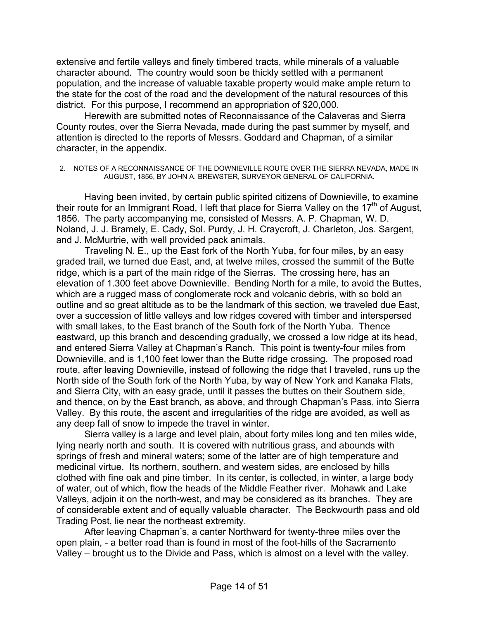extensive and fertile valleys and finely timbered tracts, while minerals of a valuable character abound. The country would soon be thickly settled with a permanent population, and the increase of valuable taxable property would make ample return to the state for the cost of the road and the development of the natural resources of this district. For this purpose, I recommend an appropriation of \$20,000.

 Herewith are submitted notes of Reconnaissance of the Calaveras and Sierra County routes, over the Sierra Nevada, made during the past summer by myself, and attention is directed to the reports of Messrs. Goddard and Chapman, of a similar character, in the appendix.

2. NOTES OF A RECONNAISSANCE OF THE DOWNIEVILLE ROUTE OVER THE SIERRA NEVADA, MADE IN AUGUST, 1856, BY JOHN A. BREWSTER, SURVEYOR GENERAL OF CALIFORNIA.

 Having been invited, by certain public spirited citizens of Downieville, to examine their route for an Immigrant Road, I left that place for Sierra Valley on the  $17<sup>th</sup>$  of August, 1856. The party accompanying me, consisted of Messrs. A. P. Chapman, W. D. Noland, J. J. Bramely, E. Cady, Sol. Purdy, J. H. Craycroft, J. Charleton, Jos. Sargent, and J. McMurtrie, with well provided pack animals.

 Traveling N. E., up the East fork of the North Yuba, for four miles, by an easy graded trail, we turned due East, and, at twelve miles, crossed the summit of the Butte ridge, which is a part of the main ridge of the Sierras. The crossing here, has an elevation of 1.300 feet above Downieville. Bending North for a mile, to avoid the Buttes, which are a rugged mass of conglomerate rock and volcanic debris, with so bold an outline and so great altitude as to be the landmark of this section, we traveled due East, over a succession of little valleys and low ridges covered with timber and interspersed with small lakes, to the East branch of the South fork of the North Yuba. Thence eastward, up this branch and descending gradually, we crossed a low ridge at its head, and entered Sierra Valley at Chapman's Ranch. This point is twenty-four miles from Downieville, and is 1,100 feet lower than the Butte ridge crossing. The proposed road route, after leaving Downieville, instead of following the ridge that I traveled, runs up the North side of the South fork of the North Yuba, by way of New York and Kanaka Flats, and Sierra City, with an easy grade, until it passes the buttes on their Southern side, and thence, on by the East branch, as above, and through Chapman's Pass, into Sierra Valley. By this route, the ascent and irregularities of the ridge are avoided, as well as any deep fall of snow to impede the travel in winter.

 Sierra valley is a large and level plain, about forty miles long and ten miles wide, lying nearly north and south. It is covered with nutritious grass, and abounds with springs of fresh and mineral waters; some of the latter are of high temperature and medicinal virtue. Its northern, southern, and western sides, are enclosed by hills clothed with fine oak and pine timber. In its center, is collected, in winter, a large body of water, out of which, flow the heads of the Middle Feather river. Mohawk and Lake Valleys, adjoin it on the north-west, and may be considered as its branches. They are of considerable extent and of equally valuable character. The Beckwourth pass and old Trading Post, lie near the northeast extremity.

After leaving Chapman's, a canter Northward for twenty-three miles over the open plain, - a better road than is found in most of the foot-hills of the Sacramento Valley – brought us to the Divide and Pass, which is almost on a level with the valley.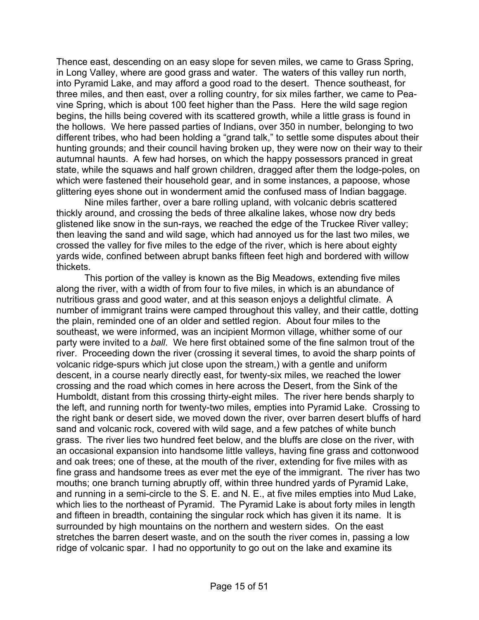Thence east, descending on an easy slope for seven miles, we came to Grass Spring, in Long Valley, where are good grass and water. The waters of this valley run north, into Pyramid Lake, and may afford a good road to the desert. Thence southeast, for three miles, and then east, over a rolling country, for six miles farther, we came to Peavine Spring, which is about 100 feet higher than the Pass. Here the wild sage region begins, the hills being covered with its scattered growth, while a little grass is found in the hollows. We here passed parties of Indians, over 350 in number, belonging to two different tribes, who had been holding a "grand talk," to settle some disputes about their hunting grounds; and their council having broken up, they were now on their way to their autumnal haunts. A few had horses, on which the happy possessors pranced in great state, while the squaws and half grown children, dragged after them the lodge-poles, on which were fastened their household gear, and in some instances, a papoose, whose glittering eyes shone out in wonderment amid the confused mass of Indian baggage.

 Nine miles farther, over a bare rolling upland, with volcanic debris scattered thickly around, and crossing the beds of three alkaline lakes, whose now dry beds glistened like snow in the sun-rays, we reached the edge of the Truckee River valley; then leaving the sand and wild sage, which had annoyed us for the last two miles, we crossed the valley for five miles to the edge of the river, which is here about eighty yards wide, confined between abrupt banks fifteen feet high and bordered with willow thickets.

 This portion of the valley is known as the Big Meadows, extending five miles along the river, with a width of from four to five miles, in which is an abundance of nutritious grass and good water, and at this season enjoys a delightful climate. A number of immigrant trains were camped throughout this valley, and their cattle, dotting the plain, reminded one of an older and settled region. About four miles to the southeast, we were informed, was an incipient Mormon village, whither some of our party were invited to a *ball*. We here first obtained some of the fine salmon trout of the river. Proceeding down the river (crossing it several times, to avoid the sharp points of volcanic ridge-spurs which jut close upon the stream,) with a gentle and uniform descent, in a course nearly directly east, for twenty-six miles, we reached the lower crossing and the road which comes in here across the Desert, from the Sink of the Humboldt, distant from this crossing thirty-eight miles. The river here bends sharply to the left, and running north for twenty-two miles, empties into Pyramid Lake. Crossing to the right bank or desert side, we moved down the river, over barren desert bluffs of hard sand and volcanic rock, covered with wild sage, and a few patches of white bunch grass. The river lies two hundred feet below, and the bluffs are close on the river, with an occasional expansion into handsome little valleys, having fine grass and cottonwood and oak trees; one of these, at the mouth of the river, extending for five miles with as fine grass and handsome trees as ever met the eye of the immigrant. The river has two mouths; one branch turning abruptly off, within three hundred yards of Pyramid Lake, and running in a semi-circle to the S. E. and N. E., at five miles empties into Mud Lake, which lies to the northeast of Pyramid. The Pyramid Lake is about forty miles in length and fifteen in breadth, containing the singular rock which has given it its name. It is surrounded by high mountains on the northern and western sides. On the east stretches the barren desert waste, and on the south the river comes in, passing a low ridge of volcanic spar. I had no opportunity to go out on the lake and examine its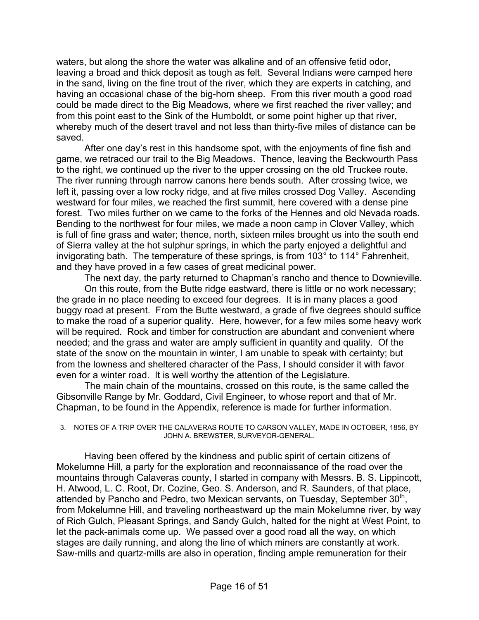waters, but along the shore the water was alkaline and of an offensive fetid odor, leaving a broad and thick deposit as tough as felt. Several Indians were camped here in the sand, living on the fine trout of the river, which they are experts in catching, and having an occasional chase of the big-horn sheep. From this river mouth a good road could be made direct to the Big Meadows, where we first reached the river valley; and from this point east to the Sink of the Humboldt, or some point higher up that river, whereby much of the desert travel and not less than thirty-five miles of distance can be saved.

 After one day's rest in this handsome spot, with the enjoyments of fine fish and game, we retraced our trail to the Big Meadows. Thence, leaving the Beckwourth Pass to the right, we continued up the river to the upper crossing on the old Truckee route. The river running through narrow canons here bends south. After crossing twice, we left it, passing over a low rocky ridge, and at five miles crossed Dog Valley. Ascending westward for four miles, we reached the first summit, here covered with a dense pine forest. Two miles further on we came to the forks of the Hennes and old Nevada roads. Bending to the northwest for four miles, we made a noon camp in Clover Valley, which is full of fine grass and water; thence, north, sixteen miles brought us into the south end of Sierra valley at the hot sulphur springs, in which the party enjoyed a delightful and invigorating bath. The temperature of these springs, is from 103° to 114° Fahrenheit, and they have proved in a few cases of great medicinal power.

 The next day, the party returned to Chapman's rancho and thence to Downieville. On this route, from the Butte ridge eastward, there is little or no work necessary; the grade in no place needing to exceed four degrees. It is in many places a good buggy road at present. From the Butte westward, a grade of five degrees should suffice to make the road of a superior quality. Here, however, for a few miles some heavy work will be required. Rock and timber for construction are abundant and convenient where needed; and the grass and water are amply sufficient in quantity and quality. Of the state of the snow on the mountain in winter, I am unable to speak with certainty; but from the lowness and sheltered character of the Pass, I should consider it with favor even for a winter road. It is well worthy the attention of the Legislature.

 The main chain of the mountains, crossed on this route, is the same called the Gibsonville Range by Mr. Goddard, Civil Engineer, to whose report and that of Mr. Chapman, to be found in the Appendix, reference is made for further information.

#### 3. NOTES OF A TRIP OVER THE CALAVERAS ROUTE TO CARSON VALLEY, MADE IN OCTOBER, 1856, BY JOHN A. BREWSTER, SURVEYOR-GENERAL.

 Having been offered by the kindness and public spirit of certain citizens of Mokelumne Hill, a party for the exploration and reconnaissance of the road over the mountains through Calaveras county, I started in company with Messrs. B. S. Lippincott, H. Atwood, L. C. Root, Dr. Cozine, Geo. S. Anderson, and R. Saunders, of that place, attended by Pancho and Pedro, two Mexican servants, on Tuesday, September  $30<sup>th</sup>$ , from Mokelumne Hill, and traveling northeastward up the main Mokelumne river, by way of Rich Gulch, Pleasant Springs, and Sandy Gulch, halted for the night at West Point, to let the pack-animals come up. We passed over a good road all the way, on which stages are daily running, and along the line of which miners are constantly at work. Saw-mills and quartz-mills are also in operation, finding ample remuneration for their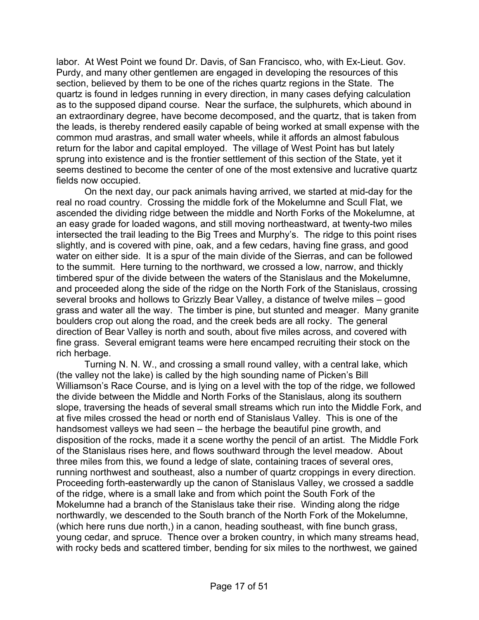labor. At West Point we found Dr. Davis, of San Francisco, who, with Ex-Lieut. Gov. Purdy, and many other gentlemen are engaged in developing the resources of this section, believed by them to be one of the riches quartz regions in the State. The quartz is found in ledges running in every direction, in many cases defying calculation as to the supposed dipand course. Near the surface, the sulphurets, which abound in an extraordinary degree, have become decomposed, and the quartz, that is taken from the leads, is thereby rendered easily capable of being worked at small expense with the common mud arastras, and small water wheels, while it affords an almost fabulous return for the labor and capital employed. The village of West Point has but lately sprung into existence and is the frontier settlement of this section of the State, yet it seems destined to become the center of one of the most extensive and lucrative quartz fields now occupied.

 On the next day, our pack animals having arrived, we started at mid-day for the real no road country. Crossing the middle fork of the Mokelumne and Scull Flat, we ascended the dividing ridge between the middle and North Forks of the Mokelumne, at an easy grade for loaded wagons, and still moving northeastward, at twenty-two miles intersected the trail leading to the Big Trees and Murphy's. The ridge to this point rises slightly, and is covered with pine, oak, and a few cedars, having fine grass, and good water on either side. It is a spur of the main divide of the Sierras, and can be followed to the summit. Here turning to the northward, we crossed a low, narrow, and thickly timbered spur of the divide between the waters of the Stanislaus and the Mokelumne, and proceeded along the side of the ridge on the North Fork of the Stanislaus, crossing several brooks and hollows to Grizzly Bear Valley, a distance of twelve miles – good grass and water all the way. The timber is pine, but stunted and meager. Many granite boulders crop out along the road, and the creek beds are all rocky. The general direction of Bear Valley is north and south, about five miles across, and covered with fine grass. Several emigrant teams were here encamped recruiting their stock on the rich herbage.

 Turning N. N. W., and crossing a small round valley, with a central lake, which (the valley not the lake) is called by the high sounding name of Picken's Bill Williamson's Race Course, and is lying on a level with the top of the ridge, we followed the divide between the Middle and North Forks of the Stanislaus, along its southern slope, traversing the heads of several small streams which run into the Middle Fork, and at five miles crossed the head or north end of Stanislaus Valley. This is one of the handsomest valleys we had seen – the herbage the beautiful pine growth, and disposition of the rocks, made it a scene worthy the pencil of an artist. The Middle Fork of the Stanislaus rises here, and flows southward through the level meadow. About three miles from this, we found a ledge of slate, containing traces of several ores, running northwest and southeast, also a number of quartz croppings in every direction. Proceeding forth-easterwardly up the canon of Stanislaus Valley, we crossed a saddle of the ridge, where is a small lake and from which point the South Fork of the Mokelumne had a branch of the Stanislaus take their rise. Winding along the ridge northwardly, we descended to the South branch of the North Fork of the Mokelumne, (which here runs due north,) in a canon, heading southeast, with fine bunch grass, young cedar, and spruce. Thence over a broken country, in which many streams head, with rocky beds and scattered timber, bending for six miles to the northwest, we gained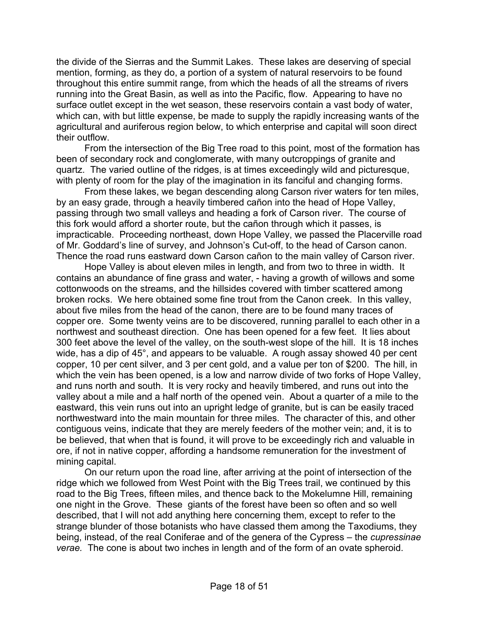the divide of the Sierras and the Summit Lakes. These lakes are deserving of special mention, forming, as they do, a portion of a system of natural reservoirs to be found throughout this entire summit range, from which the heads of all the streams of rivers running into the Great Basin, as well as into the Pacific, flow. Appearing to have no surface outlet except in the wet season, these reservoirs contain a vast body of water, which can, with but little expense, be made to supply the rapidly increasing wants of the agricultural and auriferous region below, to which enterprise and capital will soon direct their outflow.

 From the intersection of the Big Tree road to this point, most of the formation has been of secondary rock and conglomerate, with many outcroppings of granite and quartz. The varied outline of the ridges, is at times exceedingly wild and picturesque, with plenty of room for the play of the imagination in its fanciful and changing forms.

 From these lakes, we began descending along Carson river waters for ten miles, by an easy grade, through a heavily timbered cañon into the head of Hope Valley, passing through two small valleys and heading a fork of Carson river. The course of this fork would afford a shorter route, but the cañon through which it passes, is impracticable. Proceeding northeast, down Hope Valley, we passed the Placerville road of Mr. Goddard's line of survey, and Johnson's Cut-off, to the head of Carson canon. Thence the road runs eastward down Carson cañon to the main valley of Carson river.

 Hope Valley is about eleven miles in length, and from two to three in width. It contains an abundance of fine grass and water, - having a growth of willows and some cottonwoods on the streams, and the hillsides covered with timber scattered among broken rocks. We here obtained some fine trout from the Canon creek. In this valley, about five miles from the head of the canon, there are to be found many traces of copper ore. Some twenty veins are to be discovered, running parallel to each other in a northwest and southeast direction. One has been opened for a few feet. It lies about 300 feet above the level of the valley, on the south-west slope of the hill. It is 18 inches wide, has a dip of 45°, and appears to be valuable. A rough assay showed 40 per cent copper, 10 per cent silver, and 3 per cent gold, and a value per ton of \$200. The hill, in which the vein has been opened, is a low and narrow divide of two forks of Hope Valley, and runs north and south. It is very rocky and heavily timbered, and runs out into the valley about a mile and a half north of the opened vein. About a quarter of a mile to the eastward, this vein runs out into an upright ledge of granite, but is can be easily traced northwestward into the main mountain for three miles. The character of this, and other contiguous veins, indicate that they are merely feeders of the mother vein; and, it is to be believed, that when that is found, it will prove to be exceedingly rich and valuable in ore, if not in native copper, affording a handsome remuneration for the investment of mining capital.

 On our return upon the road line, after arriving at the point of intersection of the ridge which we followed from West Point with the Big Trees trail, we continued by this road to the Big Trees, fifteen miles, and thence back to the Mokelumne Hill, remaining one night in the Grove. These giants of the forest have been so often and so well described, that I will not add anything here concerning them, except to refer to the strange blunder of those botanists who have classed them among the Taxodiums, they being, instead, of the real Coniferae and of the genera of the Cypress – the *cupressinae verae.* The cone is about two inches in length and of the form of an ovate spheroid.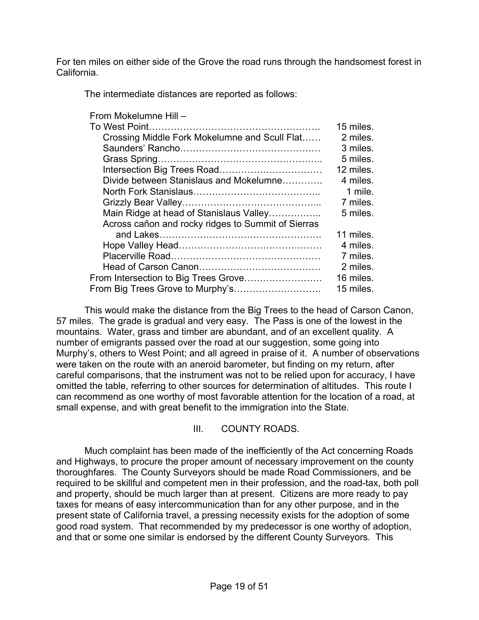For ten miles on either side of the Grove the road runs through the handsomest forest in California.

The intermediate distances are reported as follows:

From Mokelumne Hill –

|                                                    | 15 miles. |
|----------------------------------------------------|-----------|
| Crossing Middle Fork Mokelumne and Scull Flat      | 2 miles.  |
|                                                    | 3 miles.  |
|                                                    | 5 miles.  |
|                                                    | 12 miles. |
| Divide between Stanislaus and Mokelumne            | 4 miles.  |
|                                                    | 1 mile.   |
|                                                    | 7 miles.  |
| Main Ridge at head of Stanislaus Valley            | 5 miles.  |
| Across cañon and rocky ridges to Summit of Sierras |           |
|                                                    | 11 miles. |
|                                                    | 4 miles.  |
|                                                    | 7 miles.  |
|                                                    | 2 miles.  |
|                                                    | 16 miles. |
|                                                    | 15 miles. |

 This would make the distance from the Big Trees to the head of Carson Canon, 57 miles. The grade is gradual and very easy. The Pass is one of the lowest in the mountains. Water, grass and timber are abundant, and of an excellent quality. A number of emigrants passed over the road at our suggestion, some going into Murphy's, others to West Point; and all agreed in praise of it. A number of observations were taken on the route with an aneroid barometer, but finding on my return, after careful comparisons, that the instrument was not to be relied upon for accuracy, I have omitted the table, referring to other sources for determination of altitudes. This route I can recommend as one worthy of most favorable attention for the location of a road, at small expense, and with great benefit to the immigration into the State.

III. COUNTY ROADS.

Much complaint has been made of the inefficiently of the Act concerning Roads and Highways, to procure the proper amount of necessary improvement on the county thoroughfares. The County Surveyors should be made Road Commissioners, and be required to be skillful and competent men in their profession, and the road-tax, both poll and property, should be much larger than at present. Citizens are more ready to pay taxes for means of easy intercommunication than for any other purpose, and in the present state of California travel, a pressing necessity exists for the adoption of some good road system. That recommended by my predecessor is one worthy of adoption, and that or some one similar is endorsed by the different County Surveyors. This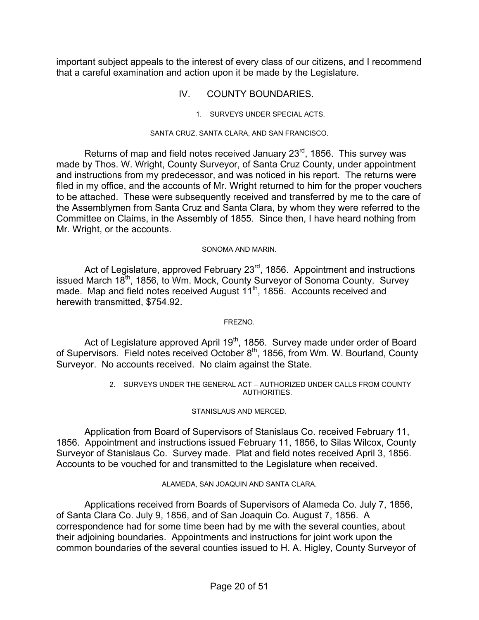important subject appeals to the interest of every class of our citizens, and I recommend that a careful examination and action upon it be made by the Legislature.

# IV. COUNTY BOUNDARIES.

1. SURVEYS UNDER SPECIAL ACTS.

#### SANTA CRUZ, SANTA CLARA, AND SAN FRANCISCO.

Returns of map and field notes received January 23<sup>rd</sup>, 1856. This survey was made by Thos. W. Wright, County Surveyor, of Santa Cruz County, under appointment and instructions from my predecessor, and was noticed in his report. The returns were filed in my office, and the accounts of Mr. Wright returned to him for the proper vouchers to be attached. These were subsequently received and transferred by me to the care of the Assemblymen from Santa Cruz and Santa Clara, by whom they were referred to the Committee on Claims, in the Assembly of 1855. Since then, I have heard nothing from Mr. Wright, or the accounts.

#### SONOMA AND MARIN.

Act of Legislature, approved February 23<sup>rd</sup>, 1856. Appointment and instructions issued March  $18<sup>th</sup>$ , 1856, to Wm. Mock, County Surveyor of Sonoma County. Survey made. Map and field notes received August 11<sup>th</sup>, 1856. Accounts received and herewith transmitted, \$754.92.

#### FREZNO.

Act of Legislature approved April 19<sup>th</sup>, 1856. Survey made under order of Board of Supervisors. Field notes received October 8<sup>th</sup>, 1856, from Wm. W. Bourland, County Surveyor. No accounts received. No claim against the State.

#### 2. SURVEYS UNDER THE GENERAL ACT – AUTHORIZED UNDER CALLS FROM COUNTY AUTHORITIES.

#### STANISLAUS AND MERCED.

 Application from Board of Supervisors of Stanislaus Co. received February 11, 1856. Appointment and instructions issued February 11, 1856, to Silas Wilcox, County Surveyor of Stanislaus Co. Survey made. Plat and field notes received April 3, 1856. Accounts to be vouched for and transmitted to the Legislature when received.

#### ALAMEDA, SAN JOAQUIN AND SANTA CLARA.

 Applications received from Boards of Supervisors of Alameda Co. July 7, 1856, of Santa Clara Co. July 9, 1856, and of San Joaquin Co. August 7, 1856. A correspondence had for some time been had by me with the several counties, about their adjoining boundaries. Appointments and instructions for joint work upon the common boundaries of the several counties issued to H. A. Higley, County Surveyor of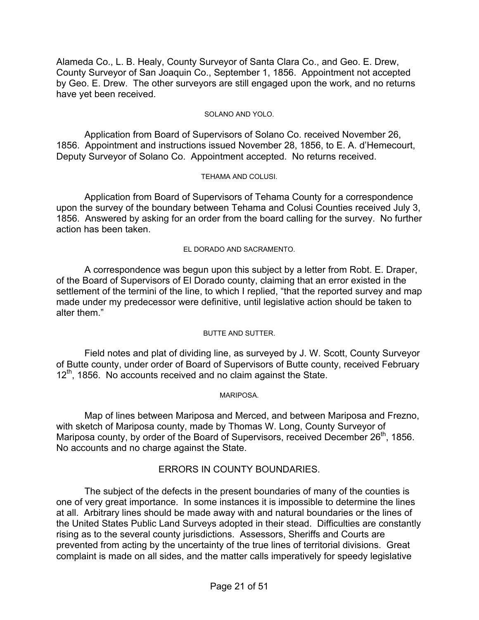Alameda Co., L. B. Healy, County Surveyor of Santa Clara Co., and Geo. E. Drew, County Surveyor of San Joaquin Co., September 1, 1856. Appointment not accepted by Geo. E. Drew. The other surveyors are still engaged upon the work, and no returns have yet been received.

### SOLANO AND YOLO.

 Application from Board of Supervisors of Solano Co. received November 26, 1856. Appointment and instructions issued November 28, 1856, to E. A. d'Hemecourt, Deputy Surveyor of Solano Co. Appointment accepted. No returns received.

#### TEHAMA AND COLUSI.

 Application from Board of Supervisors of Tehama County for a correspondence upon the survey of the boundary between Tehama and Colusi Counties received July 3, 1856. Answered by asking for an order from the board calling for the survey. No further action has been taken.

#### EL DORADO AND SACRAMENTO.

 A correspondence was begun upon this subject by a letter from Robt. E. Draper, of the Board of Supervisors of El Dorado county, claiming that an error existed in the settlement of the termini of the line, to which I replied, "that the reported survey and map made under my predecessor were definitive, until legislative action should be taken to alter them."

#### BUTTE AND SUTTER.

 Field notes and plat of dividing line, as surveyed by J. W. Scott, County Surveyor of Butte county, under order of Board of Supervisors of Butte county, received February  $12<sup>th</sup>$ , 1856. No accounts received and no claim against the State.

#### MARIPOSA.

 Map of lines between Mariposa and Merced, and between Mariposa and Frezno, with sketch of Mariposa county, made by Thomas W. Long, County Surveyor of Mariposa county, by order of the Board of Supervisors, received December 26<sup>th</sup>, 1856. No accounts and no charge against the State.

# ERRORS IN COUNTY BOUNDARIES.

 The subject of the defects in the present boundaries of many of the counties is one of very great importance. In some instances it is impossible to determine the lines at all. Arbitrary lines should be made away with and natural boundaries or the lines of the United States Public Land Surveys adopted in their stead. Difficulties are constantly rising as to the several county jurisdictions. Assessors, Sheriffs and Courts are prevented from acting by the uncertainty of the true lines of territorial divisions. Great complaint is made on all sides, and the matter calls imperatively for speedy legislative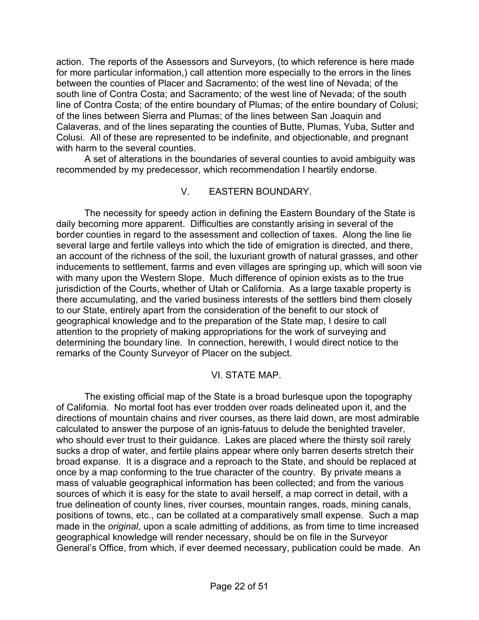action. The reports of the Assessors and Surveyors, (to which reference is here made for more particular information,) call attention more especially to the errors in the lines between the counties of Placer and Sacramento; of the west line of Nevada; of the south line of Contra Costa; and Sacramento; of the west line of Nevada; of the south line of Contra Costa; of the entire boundary of Plumas; of the entire boundary of Colusi; of the lines between Sierra and Plumas; of the lines between San Joaquin and Calaveras, and of the lines separating the counties of Butte, Plumas, Yuba, Sutter and Colusi. All of these are represented to be indefinite, and objectionable, and pregnant with harm to the several counties.

 A set of alterations in the boundaries of several counties to avoid ambiguity was recommended by my predecessor, which recommendation I heartily endorse.

# V. EASTERN BOUNDARY.

 The necessity for speedy action in defining the Eastern Boundary of the State is daily becoming more apparent. Difficulties are constantly arising in several of the border counties in regard to the assessment and collection of taxes. Along the line lie several large and fertile valleys into which the tide of emigration is directed, and there, an account of the richness of the soil, the luxuriant growth of natural grasses, and other inducements to settlement, farms and even villages are springing up, which will soon vie with many upon the Western Slope. Much difference of opinion exists as to the true jurisdiction of the Courts, whether of Utah or California. As a large taxable property is there accumulating, and the varied business interests of the settlers bind them closely to our State, entirely apart from the consideration of the benefit to our stock of geographical knowledge and to the preparation of the State map, I desire to call attention to the propriety of making appropriations for the work of surveying and determining the boundary line. In connection, herewith, I would direct notice to the remarks of the County Surveyor of Placer on the subject.

# VI. STATE MAP.

 The existing official map of the State is a broad burlesque upon the topography of California. No mortal foot has ever trodden over roads delineated upon it, and the directions of mountain chains and river courses, as there laid down, are most admirable calculated to answer the purpose of an ignis-fatuus to delude the benighted traveler, who should ever trust to their quidance. Lakes are placed where the thirsty soil rarely sucks a drop of water, and fertile plains appear where only barren deserts stretch their broad expanse. It is a disgrace and a reproach to the State, and should be replaced at once by a map conforming to the true character of the country. By private means a mass of valuable geographical information has been collected; and from the various sources of which it is easy for the state to avail herself, a map correct in detail, with a true delineation of county lines, river courses, mountain ranges, roads, mining canals, positions of towns, etc., can be collated at a comparatively small expense. Such a map made in the *original*, upon a scale admitting of additions, as from time to time increased geographical knowledge will render necessary, should be on file in the Surveyor General's Office, from which, if ever deemed necessary, publication could be made. An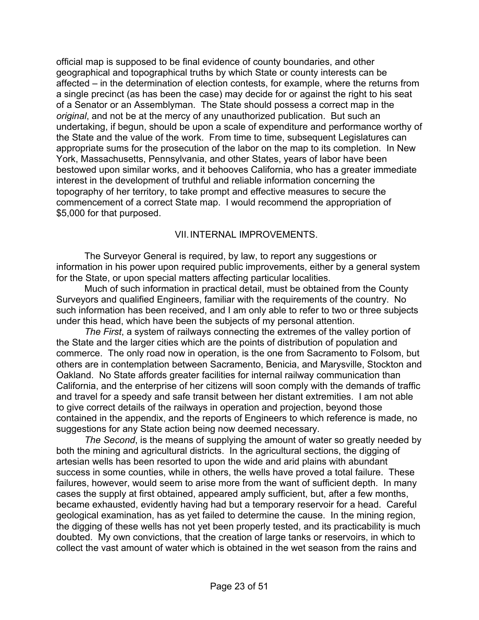official map is supposed to be final evidence of county boundaries, and other geographical and topographical truths by which State or county interests can be affected – in the determination of election contests, for example, where the returns from a single precinct (as has been the case) may decide for or against the right to his seat of a Senator or an Assemblyman. The State should possess a correct map in the *original*, and not be at the mercy of any unauthorized publication. But such an undertaking, if begun, should be upon a scale of expenditure and performance worthy of the State and the value of the work. From time to time, subsequent Legislatures can appropriate sums for the prosecution of the labor on the map to its completion. In New York, Massachusetts, Pennsylvania, and other States, years of labor have been bestowed upon similar works, and it behooves California, who has a greater immediate interest in the development of truthful and reliable information concerning the topography of her territory, to take prompt and effective measures to secure the commencement of a correct State map. I would recommend the appropriation of \$5,000 for that purposed.

# VII. INTERNAL IMPROVEMENTS.

 The Surveyor General is required, by law, to report any suggestions or information in his power upon required public improvements, either by a general system for the State, or upon special matters affecting particular localities.

 Much of such information in practical detail, must be obtained from the County Surveyors and qualified Engineers, familiar with the requirements of the country. No such information has been received, and I am only able to refer to two or three subjects under this head, which have been the subjects of my personal attention.

*The First*, a system of railways connecting the extremes of the valley portion of the State and the larger cities which are the points of distribution of population and commerce. The only road now in operation, is the one from Sacramento to Folsom, but others are in contemplation between Sacramento, Benicia, and Marysville, Stockton and Oakland. No State affords greater facilities for internal railway communication than California, and the enterprise of her citizens will soon comply with the demands of traffic and travel for a speedy and safe transit between her distant extremities. I am not able to give correct details of the railways in operation and projection, beyond those contained in the appendix, and the reports of Engineers to which reference is made, no suggestions for any State action being now deemed necessary.

*The Second*, is the means of supplying the amount of water so greatly needed by both the mining and agricultural districts. In the agricultural sections, the digging of artesian wells has been resorted to upon the wide and arid plains with abundant success in some counties, while in others, the wells have proved a total failure. These failures, however, would seem to arise more from the want of sufficient depth. In many cases the supply at first obtained, appeared amply sufficient, but, after a few months, became exhausted, evidently having had but a temporary reservoir for a head. Careful geological examination, has as yet failed to determine the cause. In the mining region, the digging of these wells has not yet been properly tested, and its practicability is much doubted. My own convictions, that the creation of large tanks or reservoirs, in which to collect the vast amount of water which is obtained in the wet season from the rains and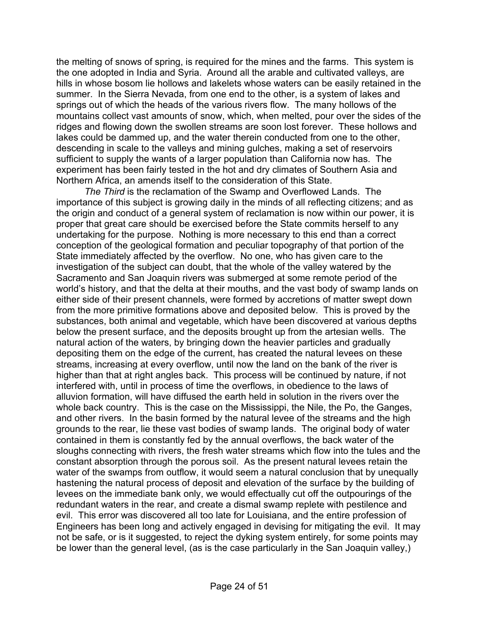the melting of snows of spring, is required for the mines and the farms. This system is the one adopted in India and Syria. Around all the arable and cultivated valleys, are hills in whose bosom lie hollows and lakelets whose waters can be easily retained in the summer. In the Sierra Nevada, from one end to the other, is a system of lakes and springs out of which the heads of the various rivers flow. The many hollows of the mountains collect vast amounts of snow, which, when melted, pour over the sides of the ridges and flowing down the swollen streams are soon lost forever. These hollows and lakes could be dammed up, and the water therein conducted from one to the other, descending in scale to the valleys and mining gulches, making a set of reservoirs sufficient to supply the wants of a larger population than California now has. The experiment has been fairly tested in the hot and dry climates of Southern Asia and Northern Africa, an amends itself to the consideration of this State.

*The Third* is the reclamation of the Swamp and Overflowed Lands. The importance of this subject is growing daily in the minds of all reflecting citizens; and as the origin and conduct of a general system of reclamation is now within our power, it is proper that great care should be exercised before the State commits herself to any undertaking for the purpose. Nothing is more necessary to this end than a correct conception of the geological formation and peculiar topography of that portion of the State immediately affected by the overflow. No one, who has given care to the investigation of the subject can doubt, that the whole of the valley watered by the Sacramento and San Joaquin rivers was submerged at some remote period of the world's history, and that the delta at their mouths, and the vast body of swamp lands on either side of their present channels, were formed by accretions of matter swept down from the more primitive formations above and deposited below. This is proved by the substances, both animal and vegetable, which have been discovered at various depths below the present surface, and the deposits brought up from the artesian wells. The natural action of the waters, by bringing down the heavier particles and gradually depositing them on the edge of the current, has created the natural levees on these streams, increasing at every overflow, until now the land on the bank of the river is higher than that at right angles back. This process will be continued by nature, if not interfered with, until in process of time the overflows, in obedience to the laws of alluvion formation, will have diffused the earth held in solution in the rivers over the whole back country. This is the case on the Mississippi, the Nile, the Po, the Ganges, and other rivers. In the basin formed by the natural levee of the streams and the high grounds to the rear, lie these vast bodies of swamp lands. The original body of water contained in them is constantly fed by the annual overflows, the back water of the sloughs connecting with rivers, the fresh water streams which flow into the tules and the constant absorption through the porous soil. As the present natural levees retain the water of the swamps from outflow, it would seem a natural conclusion that by unequally hastening the natural process of deposit and elevation of the surface by the building of levees on the immediate bank only, we would effectually cut off the outpourings of the redundant waters in the rear, and create a dismal swamp replete with pestilence and evil. This error was discovered all too late for Louisiana, and the entire profession of Engineers has been long and actively engaged in devising for mitigating the evil. It may not be safe, or is it suggested, to reject the dyking system entirely, for some points may be lower than the general level, (as is the case particularly in the San Joaquin valley,)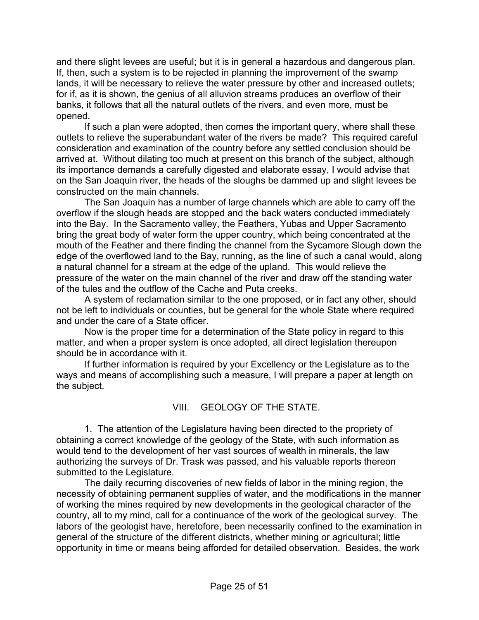and there slight levees are useful; but it is in general a hazardous and dangerous plan. If, then, such a system is to be rejected in planning the improvement of the swamp lands, it will be necessary to relieve the water pressure by other and increased outlets; for if, as it is shown, the genius of all alluvion streams produces an overflow of their banks, it follows that all the natural outlets of the rivers, and even more, must be opened.

 If such a plan were adopted, then comes the important query, where shall these outlets to relieve the superabundant water of the rivers be made? This required careful consideration and examination of the country before any settled conclusion should be arrived at. Without dilating too much at present on this branch of the subject, although its importance demands a carefully digested and elaborate essay, I would advise that on the San Joaquin river, the heads of the sloughs be dammed up and slight levees be constructed on the main channels.

 The San Joaquin has a number of large channels which are able to carry off the overflow if the slough heads are stopped and the back waters conducted immediately into the Bay. In the Sacramento valley, the Feathers, Yubas and Upper Sacramento bring the great body of water form the upper country, which being concentrated at the mouth of the Feather and there finding the channel from the Sycamore Slough down the edge of the overflowed land to the Bay, running, as the line of such a canal would, along a natural channel for a stream at the edge of the upland. This would relieve the pressure of the water on the main channel of the river and draw off the standing water of the tules and the outflow of the Cache and Puta creeks.

 A system of reclamation similar to the one proposed, or in fact any other, should not be left to individuals or counties, but be general for the whole State where required and under the care of a State officer.

 Now is the proper time for a determination of the State policy in regard to this matter, and when a proper system is once adopted, all direct legislation thereupon should be in accordance with it.

 If further information is required by your Excellency or the Legislature as to the ways and means of accomplishing such a measure, I will prepare a paper at length on the subject.

# VIII. GEOLOGY OF THE STATE.

 1. The attention of the Legislature having been directed to the propriety of obtaining a correct knowledge of the geology of the State, with such information as would tend to the development of her vast sources of wealth in minerals, the law authorizing the surveys of Dr. Trask was passed, and his valuable reports thereon submitted to the Legislature.

 The daily recurring discoveries of new fields of labor in the mining region, the necessity of obtaining permanent supplies of water, and the modifications in the manner of working the mines required by new developments in the geological character of the country, all to my mind, call for a continuance of the work of the geological survey. The labors of the geologist have, heretofore, been necessarily confined to the examination in general of the structure of the different districts, whether mining or agricultural; little opportunity in time or means being afforded for detailed observation. Besides, the work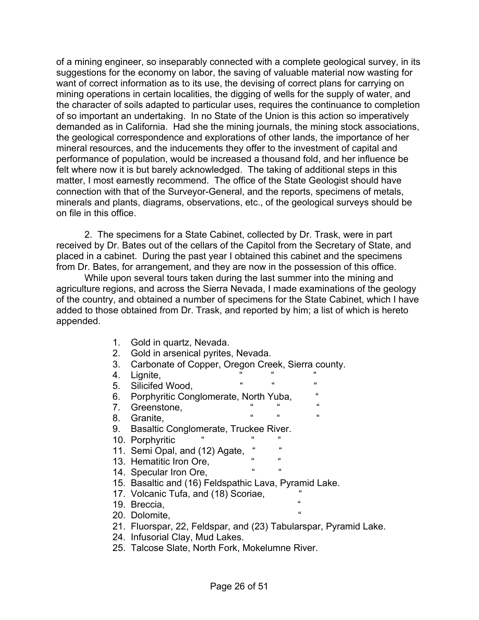of a mining engineer, so inseparably connected with a complete geological survey, in its suggestions for the economy on labor, the saving of valuable material now wasting for want of correct information as to its use, the devising of correct plans for carrying on mining operations in certain localities, the digging of wells for the supply of water, and the character of soils adapted to particular uses, requires the continuance to completion of so important an undertaking. In no State of the Union is this action so imperatively demanded as in California. Had she the mining journals, the mining stock associations, the geological correspondence and explorations of other lands, the importance of her mineral resources, and the inducements they offer to the investment of capital and performance of population, would be increased a thousand fold, and her influence be felt where now it is but barely acknowledged. The taking of additional steps in this matter, I most earnestly recommend. The office of the State Geologist should have connection with that of the Surveyor-General, and the reports, specimens of metals, minerals and plants, diagrams, observations, etc., of the geological surveys should be on file in this office.

 2. The specimens for a State Cabinet, collected by Dr. Trask, were in part received by Dr. Bates out of the cellars of the Capitol from the Secretary of State, and placed in a cabinet. During the past year I obtained this cabinet and the specimens from Dr. Bates, for arrangement, and they are now in the possession of this office.

 While upon several tours taken during the last summer into the mining and agriculture regions, and across the Sierra Nevada, I made examinations of the geology of the country, and obtained a number of specimens for the State Cabinet, which I have added to those obtained from Dr. Trask, and reported by him; a list of which is hereto appended.

| 1.<br>2. | Gold in quartz, Nevada.<br>Gold in arsenical pyrites, Nevada.    |              |            |              |            |  |  |  |  |  |  |  |
|----------|------------------------------------------------------------------|--------------|------------|--------------|------------|--|--|--|--|--|--|--|
| 3.       | Carbonate of Copper, Oregon Creek, Sierra county.                |              |            |              |            |  |  |  |  |  |  |  |
| 4.       | Lignite,                                                         |              |            |              |            |  |  |  |  |  |  |  |
| 5.       | "<br>Silicifed Wood,                                             |              | "          | $\mathbf{a}$ |            |  |  |  |  |  |  |  |
| 6.       | Porphyritic Conglomerate, North Yuba,                            |              |            |              | $\epsilon$ |  |  |  |  |  |  |  |
| 7.       | Greenstone,                                                      |              |            |              | "          |  |  |  |  |  |  |  |
| 8.       | Granite,                                                         | $\mathbf{f}$ | $\epsilon$ |              | $\epsilon$ |  |  |  |  |  |  |  |
| 9.       | Basaltic Conglomerate, Truckee River.                            |              |            |              |            |  |  |  |  |  |  |  |
|          | 10. Porphyritic                                                  |              |            |              |            |  |  |  |  |  |  |  |
|          | 11. Semi Opal, and (12) Agate,                                   |              | $\epsilon$ |              |            |  |  |  |  |  |  |  |
|          | 13. Hematitic Iron Ore,                                          | $\mathbf{f}$ | $\epsilon$ |              |            |  |  |  |  |  |  |  |
|          | 14. Specular Iron Ore,                                           | $\epsilon$   | $\epsilon$ |              |            |  |  |  |  |  |  |  |
|          | 15. Basaltic and (16) Feldspathic Lava, Pyramid Lake.            |              |            |              |            |  |  |  |  |  |  |  |
|          | 17. Volcanic Tufa, and (18) Scoriae,                             |              |            |              |            |  |  |  |  |  |  |  |
|          | 19. Breccia,                                                     |              |            | "            |            |  |  |  |  |  |  |  |
|          | 20. Dolomite,                                                    |              |            | $\epsilon$   |            |  |  |  |  |  |  |  |
|          | 21. Fluorspar, 22, Feldspar, and (23) Tabularspar, Pyramid Lake. |              |            |              |            |  |  |  |  |  |  |  |
|          | 24. Infusorial Clay, Mud Lakes.                                  |              |            |              |            |  |  |  |  |  |  |  |

25. Talcose Slate, North Fork, Mokelumne River.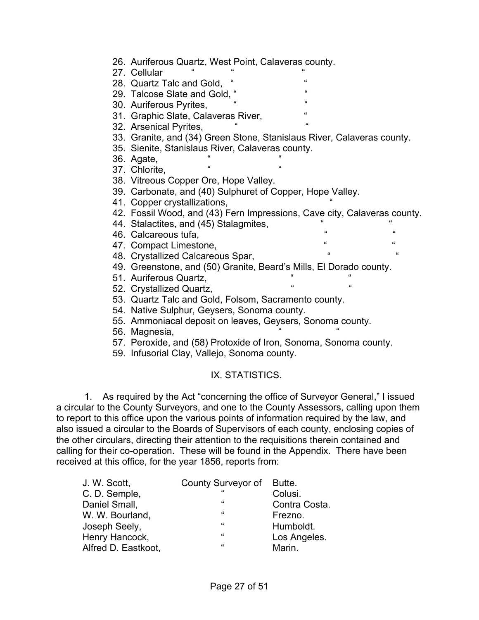- 26. Auriferous Quartz, West Point, Calaveras county.
- 27. Cellular
- 28. Quartz Talc and Gold, "
- 29. Talcose Slate and Gold, "
- 30. Auriferous Pyrites,
- 31. Graphic Slate, Calaveras River,
- 32. Arsenical Pyrites,
- 33. Granite, and (34) Green Stone, Stanislaus River, Calaveras county.
- 35. Sienite, Stanislaus River, Calaveras county.
- 36. Agate, "<br>
37. Chlorite "
- 37. Chlorite,
- 38. Vitreous Copper Ore, Hope Valley.
- 39. Carbonate, and (40) Sulphuret of Copper, Hope Valley.
- 41. Copper crystallizations, "
- 42. Fossil Wood, and (43) Fern Impressions, Cave city, Calaveras county.
- 44. Stalactites, and (45) Stalagmites,
- 46. Calcareous tufa, " "
- 47. Compact Limestone, The Compact Service of the Compact Limestone, The Compact Service of the Compact Service of the Compact Service of the Compact Service of the Compact Service of the Compact Service of the Compact Ser
- 48. Crystallized Calcareous Spar,
- 49. Greenstone, and (50) Granite, Beard's Mills, El Dorado county.
- 51. Auriferous Quartz, " "
- 52. Crystallized Quartz,
- 53. Quartz Talc and Gold, Folsom, Sacramento county.
- 54. Native Sulphur, Geysers, Sonoma county.
- 55. Ammoniacal deposit on leaves, Geysers, Sonoma county.
- 56. Magnesia,
- 57. Peroxide, and (58) Protoxide of Iron, Sonoma, Sonoma county.
- 59. Infusorial Clay, Vallejo, Sonoma county.

# IX. STATISTICS.

 1. As required by the Act "concerning the office of Surveyor General," I issued a circular to the County Surveyors, and one to the County Assessors, calling upon them to report to this office upon the various points of information required by the law, and also issued a circular to the Boards of Supervisors of each county, enclosing copies of the other circulars, directing their attention to the requisitions therein contained and calling for their co-operation. These will be found in the Appendix. There have been received at this office, for the year 1856, reports from:

| J. W. Scott,        | County Surveyor of | Butte.        |
|---------------------|--------------------|---------------|
| C. D. Semple,       | "                  | Colusi.       |
| Daniel Small,       | "                  | Contra Costa. |
| W. W. Bourland,     | $\epsilon$         | Frezno.       |
| Joseph Seely,       | $\epsilon$         | Humboldt.     |
| Henry Hancock,      | $\epsilon$         | Los Angeles.  |
| Alfred D. Eastkoot, | $\epsilon$         | Marin.        |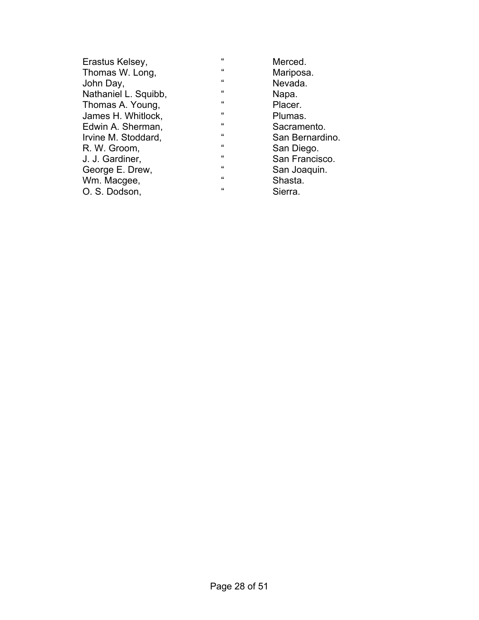| $\epsilon$   | Merced.         |
|--------------|-----------------|
| $\epsilon$   | Mariposa.       |
| $\epsilon$   | Nevada.         |
| $\epsilon$   | Napa.           |
| $\epsilon$   | Placer.         |
| $\epsilon$   | Plumas.         |
| $\epsilon$   | Sacramento.     |
| $\epsilon$   | San Bernardino. |
| $\epsilon$   | San Diego.      |
| $\epsilon$   | San Francisco.  |
| $\epsilon$   | San Joaquin.    |
| $\epsilon$   | Shasta.         |
| $\mathbf{f}$ | Sierra.         |
|              |                 |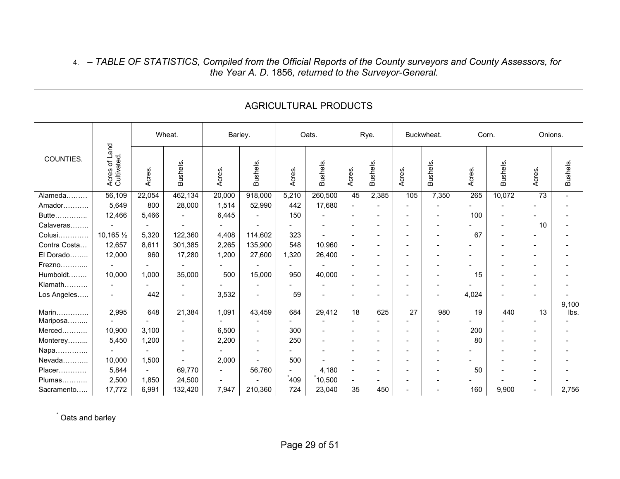# 4. – *TABLE OF STATISTICS, Compiled from the Official Reports of the County surveyors and County Assessors, for the Year A. D.* 1856*, returned to the Surveyor-General.*

|              |                              | Wheat.         |          | Barley. |                | Oats.            |                     | Rye.                     |                | Buckwheat. |                | Corn.                    |          | Onions.         |          |
|--------------|------------------------------|----------------|----------|---------|----------------|------------------|---------------------|--------------------------|----------------|------------|----------------|--------------------------|----------|-----------------|----------|
| COUNTIES.    | Acres of Land<br>Cultivated. | Acres.         | Bushels. | Acres.  | <b>Bushels</b> | Acres.           | <b>Bushels</b>      | Acres.                   | <b>Bushels</b> | Acres.     | <b>Bushels</b> | Acres.                   | Bushels. | Acres.          | Bushels. |
| Alameda      | 56,109                       | 22,054         | 462,134  | 20,000  | 918,000        | 5,210            | 260,500             | 45                       | 2,385          | 105        | 7,350          | 265                      | 10,072   | $\overline{73}$ |          |
| Amador       | 5,649                        | 800            | 28,000   | 1,514   | 52,990         | 442              | 17,680              | $\overline{\phantom{0}}$ |                |            |                |                          |          |                 |          |
| Butte        | 12,466                       | 5,466          |          | 6,445   |                | 150              |                     |                          |                |            |                | 100                      |          |                 |          |
| Calaveras    |                              |                |          |         |                |                  |                     |                          |                |            |                |                          |          | 10              |          |
| Colusi       | 10,165 1/2                   | 5,320          | 122,360  | 4,408   | 114,602        | 323              |                     |                          |                |            |                | 67                       |          |                 |          |
| Contra Costa | 12,657                       | 8,611          | 301,385  | 2,265   | 135,900        | 548              | 10,960              |                          |                |            |                |                          |          |                 |          |
| El Dorado    | 12,000                       | 960            | 17,280   | 1,200   | 27,600         | 1,320            | 26,400              | $\overline{\phantom{a}}$ |                |            |                | $\overline{\phantom{a}}$ |          |                 |          |
| Frezno       |                              |                |          |         |                |                  |                     |                          |                |            |                |                          |          |                 |          |
| Humboldt     | 10,000                       | 1,000          | 35,000   | 500     | 15,000         | 950              | 40,000              | $\blacksquare$           |                |            |                | 15                       |          |                 |          |
| Klamath      |                              |                |          |         |                |                  |                     | $\overline{\phantom{a}}$ |                |            |                |                          |          |                 |          |
| Los Angeles  |                              | 442            |          | 3,532   |                | 59               |                     |                          |                |            |                | 4,024                    |          |                 |          |
|              |                              |                |          |         |                |                  |                     |                          |                |            |                |                          |          |                 | 9,100    |
| Marin        | 2,995                        | 648            | 21,384   | 1,091   | 43,459         | 684              | 29,412              | 18                       | 625            | 27         | 980            | 19                       | 440      | 13              | lbs.     |
| Mariposa     |                              |                |          |         |                |                  |                     |                          |                |            |                |                          |          |                 |          |
| Merced       | 10,900                       | 3,100          |          | 6,500   |                | 300              |                     |                          |                |            |                | 200                      |          |                 |          |
| Monterey     | 5,450                        | 1,200          |          | 2,200   |                | 250              |                     | $\overline{\phantom{a}}$ |                |            |                | 80                       |          |                 |          |
| Napa         |                              |                |          |         |                |                  |                     |                          |                |            |                |                          |          |                 |          |
| Nevada       | 10,000                       | 1,500          |          | 2,000   |                | 500              |                     |                          |                |            |                | ۳                        |          |                 |          |
| Placer       | 5,844                        | $\blacksquare$ | 69,770   |         | 56,760         |                  | 4,180               | $\overline{\phantom{a}}$ |                |            |                | 50                       |          |                 |          |
| Plumas       | 2,500                        | 1,850          | 24,500   |         |                | <sup>-</sup> 409 | <sup>*</sup> 10,500 | $\overline{\phantom{a}}$ |                |            |                |                          |          |                 |          |
| Sacramento   | 17,772                       | 6,991          | 132,420  | 7,947   | 210,360        | 724              | 23,040              | 35                       | 450            |            |                | 160                      | 9,900    |                 | 2,756    |

# AGRICULTURAL PRODUCTS

\*Oats and barley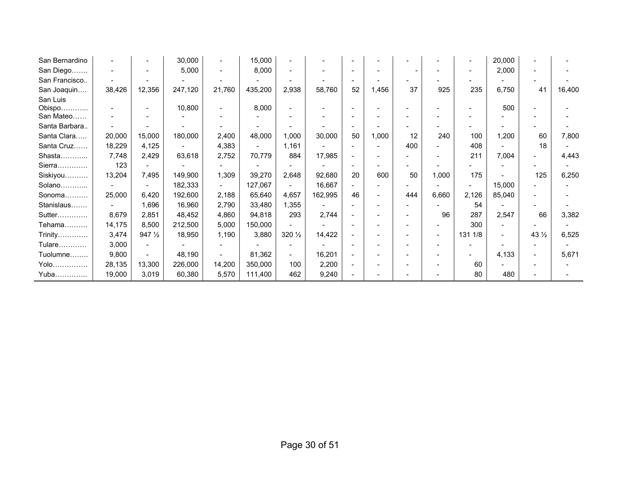| San Bernardino      |        |                  | 30,000  |        | 15,000  |                          |         |    |       |     |       |         | 20,000                   |                          |        |
|---------------------|--------|------------------|---------|--------|---------|--------------------------|---------|----|-------|-----|-------|---------|--------------------------|--------------------------|--------|
| San Diego           |        |                  | 5,000   |        | 8,000   |                          |         |    |       |     |       |         | 2,000                    |                          |        |
| San Francisco       |        |                  |         |        |         |                          |         |    |       |     |       |         |                          |                          |        |
| San Joaquin         | 38,426 | 12,356           | 247,120 | 21,760 | 435,200 | 2,938                    | 58,760  | 52 | 1,456 | 37  | 925   | 235     | 6,750                    | 41                       | 16,400 |
| San Luis<br>Obispo. |        |                  | 10,800  |        | 8,000   |                          |         |    |       |     |       |         | 500                      |                          |        |
| San Mateo           |        |                  |         |        |         |                          |         |    |       |     |       |         |                          |                          |        |
| Santa Barbara       |        |                  |         |        |         |                          |         |    |       |     |       |         |                          |                          |        |
| Santa Clara         | 20,000 | 15,000           | 180,000 | 2,400  | 48,000  | 1,000                    | 30,000  | 50 | 1,000 | 12  | 240   | 100     | 1,200                    | 60                       | 7,800  |
| Santa Cruz          | 18,229 | 4,125            |         | 4,383  |         | 1,161                    |         |    |       | 400 |       | 408     |                          | 18                       |        |
| Shasta              | 7,748  | 2,429            | 63,618  | 2,752  | 70,779  | 884                      | 17,985  |    |       |     |       | 211     | 7,004                    |                          | 4,443  |
| Sierra<br>.         | 123    |                  |         |        |         |                          |         |    |       |     |       |         |                          |                          |        |
| Siskiyou            | 13,204 | 7,495            | 149,900 | 1,309  | 39,270  | 2,648                    | 92,680  | 20 | 600   | 50  | 1,000 | 175     |                          | 125                      | 6,250  |
| Solano              |        |                  | 182,333 |        | 127,067 |                          | 16,667  |    |       |     |       |         | 15,000                   |                          |        |
| Sonoma              | 25,000 | 6,420            | 192,600 | 2,188  | 65,640  | 4,657                    | 162,995 | 46 |       | 444 | 6,660 | 2,126   | 85,040                   |                          |        |
| Stanislaus          |        | 1,696            | 16,960  | 2,790  | 33,480  | 1,355                    |         |    |       |     |       | 54      |                          |                          |        |
| Sutter              | 8,679  | 2,851            | 48,452  | 4,860  | 94,818  | 293                      | 2,744   |    |       |     | 96    | 287     | 2,547                    | 66                       | 3,382  |
| Tehama              | 14,175 | 8,500            | 212,500 | 5,000  | 150,000 |                          |         |    |       |     |       | 300     |                          |                          |        |
| Trinity             | 3,474  | $947\frac{1}{2}$ | 18,950  | 1,190  | 3,880   | $320\frac{1}{2}$         | 14,422  |    |       |     |       | 131 1/8 | $\overline{\phantom{a}}$ | 43 $\frac{1}{2}$         | 6,525  |
| Tulare              | 3,000  |                  |         |        |         |                          |         |    |       |     |       |         |                          |                          |        |
| Tuolumne            | 9,800  |                  | 48,190  |        | 81,362  | $\overline{\phantom{a}}$ | 16,201  |    |       |     |       |         | 4,133                    | $\overline{\phantom{0}}$ | 5,671  |
| Yolo                | 28,135 | 13,300           | 226,000 | 14,200 | 350,000 | 100                      | 2,200   |    |       |     |       | 60      |                          |                          |        |
| Yuba                | 19,000 | 3,019            | 60,380  | 5,570  | 111,400 | 462                      | 9,240   |    |       |     |       | 80      | 480                      |                          |        |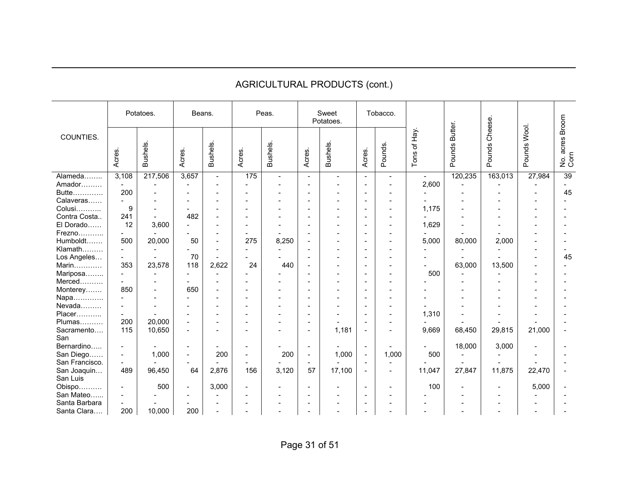|                   | Potatoes.                |          | Beans.                   |                          | Peas.                    |                | Sweet<br>Potatoes.       |                | Tobacco.                 |                          |                          |                   |                          |                 | Broom                    |
|-------------------|--------------------------|----------|--------------------------|--------------------------|--------------------------|----------------|--------------------------|----------------|--------------------------|--------------------------|--------------------------|-------------------|--------------------------|-----------------|--------------------------|
| COUNTIES.         | Acres.                   | Bushels. | Acres.                   | Bushels.                 | Acres.                   | Bushels.       | Acres.                   | Bushels.       | Acres.                   | Pounds.                  | of Hay.<br>Tons          | Butter.<br>Pounds | Cheese.<br>Pounds        | Wool.<br>Pounds | acres  <br>No. a<br>Corn |
| Alameda           | 3,108                    | 217,506  | 3,657                    | $\overline{a}$           | 175                      | $\blacksquare$ | $\overline{\phantom{a}}$ | $\overline{a}$ | $\overline{a}$           | $\blacksquare$           | $\overline{\phantom{a}}$ | 120,235           | 163,013                  | 27,984          | 39                       |
| Amador            |                          |          | ٠                        | ٠                        |                          |                | $\overline{\phantom{0}}$ |                | $\overline{a}$           | L.                       | 2,600                    |                   |                          |                 |                          |
| Butte             | 200                      |          | ۰                        | ÷                        |                          |                | $\overline{\phantom{0}}$ |                |                          |                          |                          |                   |                          |                 | 45                       |
| Calaveras         |                          |          | $\overline{\phantom{0}}$ | ÷,                       |                          |                | $\blacksquare$           |                | $\overline{a}$           |                          |                          |                   |                          |                 |                          |
| Colusi            | 9                        |          | $\overline{\phantom{0}}$ |                          |                          |                | $\overline{\phantom{a}}$ |                | $\overline{\phantom{a}}$ |                          | 1,175                    |                   |                          |                 |                          |
| Contra Costa      | 241                      |          | 482                      | ٠                        |                          |                |                          |                | $\overline{\phantom{0}}$ |                          |                          |                   |                          |                 |                          |
| El Dorado         | 12                       | 3,600    | $\overline{\phantom{0}}$ |                          |                          |                |                          |                |                          |                          | 1,629                    |                   |                          |                 |                          |
| $F$ rezno         |                          |          |                          | $\overline{\phantom{a}}$ | $\overline{\phantom{0}}$ |                |                          |                | $\overline{\phantom{0}}$ |                          |                          |                   | $\overline{\phantom{a}}$ |                 |                          |
| Humboldt          | 500                      | 20,000   | 50                       | $\blacksquare$           | 275                      | 8,250          |                          |                | $\overline{\phantom{0}}$ |                          | 5,000                    | 80,000            | 2,000                    |                 |                          |
| Klamath           | $\overline{a}$           |          |                          |                          | ۳                        |                |                          |                | $\overline{\phantom{0}}$ |                          |                          |                   |                          |                 |                          |
| Los Angeles       |                          |          | 70                       |                          |                          |                |                          |                |                          |                          |                          |                   |                          |                 | 45                       |
| Marin             | 353                      | 23,578   | 118                      | 2,622                    | 24                       | 440            |                          |                |                          |                          |                          | 63,000            | 13,500                   |                 |                          |
| Mariposa          | $\overline{a}$           |          |                          |                          |                          |                |                          |                |                          |                          | 500                      |                   |                          |                 |                          |
| Merced            |                          |          |                          | $\overline{\phantom{0}}$ |                          |                |                          |                |                          |                          |                          |                   |                          |                 |                          |
| Monterey          | 850                      |          | 650                      | $\overline{a}$           |                          |                |                          |                |                          |                          |                          |                   |                          |                 |                          |
| Napa              |                          |          |                          | ۰                        |                          |                | $\overline{\phantom{a}}$ |                | $\sim$                   |                          |                          |                   |                          |                 |                          |
| Nevada            |                          |          | ÷                        | ÷                        |                          |                | $\overline{\phantom{a}}$ |                | $\sim$                   |                          |                          |                   |                          |                 |                          |
| Placer            | $\sim$                   |          | $\overline{a}$           |                          |                          |                |                          |                |                          |                          | 1,310                    |                   |                          |                 |                          |
| Plumas            | 200                      | 20,000   | $\overline{a}$           | ٠                        |                          |                | $\equiv$                 |                | $\sim$                   |                          |                          |                   |                          |                 |                          |
| Sacramento<br>San | 115                      | 10,650   | ÷,                       | ٠                        |                          |                | $\overline{\phantom{0}}$ | 1,181          | $\overline{a}$           | ٠                        | 9,669                    | 68,450            | 29,815                   | 21,000          |                          |
| Bernardino        |                          |          | $\overline{\phantom{a}}$ |                          | $\blacksquare$           |                | $\blacksquare$           |                | $\overline{\phantom{a}}$ | $\overline{a}$           | $\overline{a}$           | 18,000            | 3,000                    |                 |                          |
| San Diego         |                          | 1,000    | ۳                        | 200                      |                          | 200            |                          | 1,000          |                          | 1,000                    | 500                      |                   | ۰                        |                 |                          |
| San Francisco.    | $\blacksquare$           |          |                          |                          |                          |                |                          |                |                          |                          |                          | $\blacksquare$    |                          |                 |                          |
| San Joaquin       | 489                      | 96,450   | 64                       | 2,876                    | 156                      | 3,120          | 57                       | 17,100         |                          | $\overline{\phantom{a}}$ | 11,047                   | 27,847            | 11,875                   | 22,470          |                          |
| San Luis          |                          |          |                          |                          |                          |                |                          |                |                          |                          |                          |                   |                          |                 |                          |
| Obispo            |                          | 500      | $\overline{\phantom{0}}$ | 3,000                    |                          |                | $\overline{\phantom{a}}$ |                |                          |                          | 100                      |                   |                          | 5,000           |                          |
| San Mateo         | $\overline{\phantom{a}}$ |          | $\equiv$                 |                          |                          |                | $\overline{\phantom{0}}$ |                | $\overline{\phantom{0}}$ |                          |                          |                   |                          |                 |                          |
| Santa Barbara     | $\sim$                   |          | $\overline{a}$           |                          |                          |                | ٠                        |                | $\overline{\phantom{a}}$ |                          |                          |                   |                          |                 |                          |
| Santa Clara       | 200                      | 10,000   | 200                      |                          |                          |                |                          |                |                          |                          |                          |                   |                          |                 |                          |

# AGRICULTURAL PRODUCTS (cont.)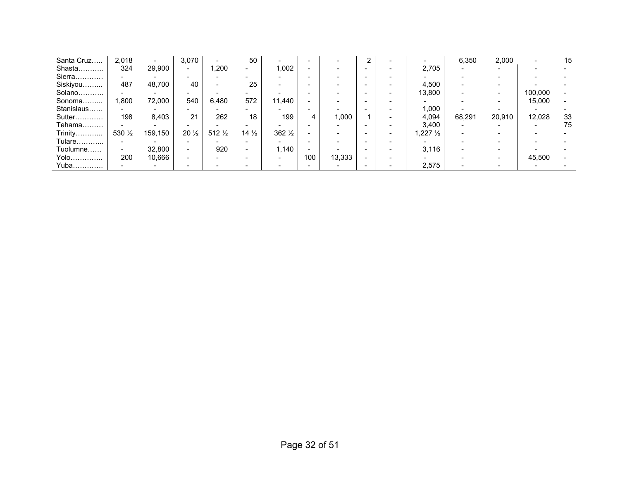| Santa Cruz | 2,018                    | -       | 3,070           |                  | 50              |                  |     |        | っ |                      | 6,350  | 2.000  |         | 15 |
|------------|--------------------------|---------|-----------------|------------------|-----------------|------------------|-----|--------|---|----------------------|--------|--------|---------|----|
| Shasta     | 324                      | 29,900  |                 | ,200             |                 | 1,002            |     |        |   | 2.705                |        |        |         |    |
| Sierra     |                          |         |                 |                  |                 |                  |     |        |   |                      |        |        |         |    |
| Siskiyou   | 487                      | 48,700  | 40              |                  | 25              |                  |     |        |   | 4,500                |        |        |         |    |
| Solano     |                          |         |                 |                  |                 |                  |     |        |   | 13,800               |        |        | 100,000 |    |
| Sonoma     | 1,800                    | 72,000  | 540             | 6,480            | 572             | 11,440           |     |        |   |                      |        |        | 15,000  |    |
| Stanislaus |                          |         |                 |                  |                 |                  |     | $\sim$ |   | 1,000                |        |        |         |    |
| Sutter     | 198                      | 8,403   | 21              | 262              | 18              | 199              |     | 1,000  |   | 4,094                | 68.291 | 20,910 | 12,028  | 33 |
| Tehama     |                          |         |                 |                  |                 |                  |     |        |   | 3,400                |        |        |         | 75 |
| Trinity    | 530 $\frac{1}{2}$        | 159,150 | $20\frac{1}{2}$ | $512\frac{1}{2}$ | $14\frac{1}{2}$ | $362\frac{1}{2}$ |     |        |   | $1,227\ \frac{1}{2}$ |        |        |         |    |
| Tulare     |                          |         |                 |                  |                 |                  |     |        |   |                      |        |        |         |    |
| Tuolumne   | $\overline{\phantom{0}}$ | 32,800  |                 | 920              |                 | 1,140            |     |        |   | 3,116                |        |        |         |    |
| Yolo       | 200                      | 10,666  |                 |                  |                 |                  | 100 | 13,333 |   |                      |        |        | 45,500  |    |
| Yuba       |                          |         |                 |                  |                 |                  |     |        |   | 2,575                |        |        |         |    |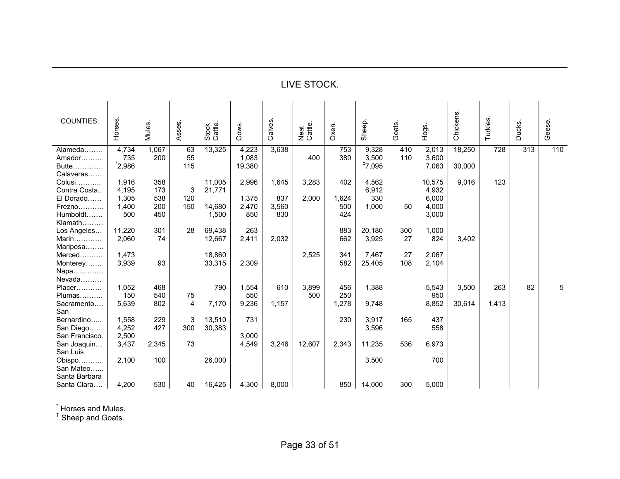# LIVE STOCK.

| COUNTIES.         | Horses. | Mules. | Asses.                    | Stock<br>Cattle. | Cows.  | Calves. | Neat<br>Cattle. | Oxen. | Sheep. | Goats. | Hogs.  | Chickens. | Turkies. | Ducks. | Geese. |
|-------------------|---------|--------|---------------------------|------------------|--------|---------|-----------------|-------|--------|--------|--------|-----------|----------|--------|--------|
| Alameda           | 4,734   | 1,067  | 63                        | 13,325           | 4,223  | 3,638   |                 | 753   | 9,328  | 410    | 2,013  | 18,250    | 728      | 313    | 110    |
| Amador            | 735     | 200    | 55                        |                  | 1,083  |         | 400             | 380   | 3,500  | 110    | 3,600  |           |          |        |        |
| Butte             | 2,986   |        | 115                       |                  | 19,380 |         |                 |       | 17,095 |        | 7,063  | 30,000    |          |        |        |
| Calaveras         |         |        |                           |                  |        |         |                 |       |        |        |        |           |          |        |        |
| Colusi            | 1,916   | 358    |                           | 11,005           | 2,996  | 1,645   | 3,283           | 402   | 4,562  |        | 10,575 | 9,016     | 123      |        |        |
| Contra Costa      | 4,195   | 173    | $\mathsf 3$               | 21,771           |        |         |                 |       | 6,912  |        | 4,932  |           |          |        |        |
| El Dorado         | 1,305   | 538    | 120                       |                  | 1,375  | 837     | 2,000           | 1,624 | 330    |        | 6,000  |           |          |        |        |
| $F$ rezno         | 1,400   | 200    | 150                       | 14,680           | 2,470  | 3,560   |                 | 500   | 1,000  | 50     | 4,000  |           |          |        |        |
| Humboldt          | 500     | 450    |                           | 1,500            | 850    | 830     |                 | 424   |        |        | 3,000  |           |          |        |        |
| Klamath           |         |        |                           |                  |        |         |                 |       |        |        |        |           |          |        |        |
| Los Angeles       | 11,220  | 301    | 28                        | 69,438           | 263    |         |                 | 883   | 20,180 | 300    | 1,000  |           |          |        |        |
| Marin             | 2,060   | 74     |                           | 12,667           | 2,411  | 2,032   |                 | 662   | 3,925  | 27     | 824    | 3,402     |          |        |        |
| Mariposa          |         |        |                           |                  |        |         |                 |       |        |        |        |           |          |        |        |
| Merced            | 1,473   |        |                           | 18,860           |        |         | 2,525           | 341   | 7,467  | 27     | 2,067  |           |          |        |        |
| Monterey          | 3,939   | 93     |                           | 33,315           | 2,309  |         |                 | 582   | 25,405 | 108    | 2,104  |           |          |        |        |
| Napa              |         |        |                           |                  |        |         |                 |       |        |        |        |           |          |        |        |
| Nevada            |         |        |                           |                  |        |         |                 |       |        |        |        |           |          |        |        |
| Placer            | 1,052   | 468    |                           | 790              | 1,554  | 610     | 3,899           | 456   | 1,388  |        | 5,543  | 3,500     | 263      | 82     | 5      |
| Plumas            | 150     | 540    | 75                        |                  | 550    |         | 500             | 250   |        |        | 950    |           |          |        |        |
| Sacramento<br>San | 5,639   | 802    | 4                         | 7,170            | 9,236  | 1,157   |                 | 1,278 | 9,748  |        | 8,852  | 30,614    | 1,413    |        |        |
| Bernardino        | 1,558   | 229    | $\ensuremath{\mathsf{3}}$ | 13,510           | 731    |         |                 | 230   | 3,917  | 165    | 437    |           |          |        |        |
| San Diego         | 4,252   | 427    | 300                       | 30,383           |        |         |                 |       | 3,596  |        | 558    |           |          |        |        |
| San Francisco.    | 2,500   |        |                           |                  | 3,000  |         |                 |       |        |        |        |           |          |        |        |
| San Joaquin       | 3,437   | 2,345  | 73                        |                  | 4,549  | 3,246   | 12,607          | 2,343 | 11,235 | 536    | 6,973  |           |          |        |        |
| San Luis          |         |        |                           |                  |        |         |                 |       |        |        |        |           |          |        |        |
| Obispo            | 2,100   | 100    |                           | 26,000           |        |         |                 |       | 3,500  |        | 700    |           |          |        |        |
| .<br>San Mateo    |         |        |                           |                  |        |         |                 |       |        |        |        |           |          |        |        |
| Santa Barbara     |         |        |                           |                  |        |         |                 |       |        |        |        |           |          |        |        |
| Santa Clara       | 4,200   | 530    | 40                        | 16,425           | 4,300  | 8,000   |                 | 850   | 14,000 | 300    | 5,000  |           |          |        |        |

 $^{\text{*}}$  Horses and Mules.<br><sup>‡</sup> Sheep and Goats.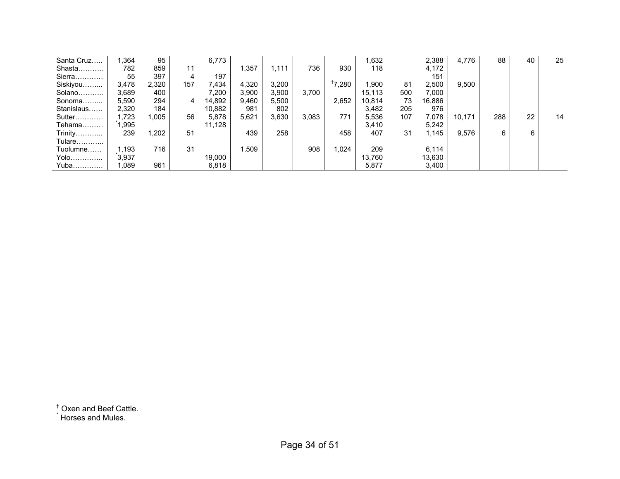| Santa Cruz | 1,364 | 95    |     | 6,773  |       |       |       |                    | 1,632  |     | 2,388  | 4.776  | 88  | 40 | 25 |
|------------|-------|-------|-----|--------|-------|-------|-------|--------------------|--------|-----|--------|--------|-----|----|----|
| Shasta     | 782   | 859   | 11  |        | ,357  | 1.111 | 736   | 930                | 118    |     | 4,172  |        |     |    |    |
| $Sierra.$  | 55    | 397   | 4   | 197    |       |       |       |                    |        |     | 151    |        |     |    |    |
| Siskiyou   | 3,478 | 2,320 | 157 | 7,434  | 4,320 | 3,200 |       | <sup>T</sup> 7,280 | 1,900  | 81  | 2,500  | 9,500  |     |    |    |
| Solano     | 3,689 | 400   |     | 7,200  | 3,900 | 3,900 | 3,700 |                    | 15,113 | 500 | 7,000  |        |     |    |    |
| Sonoma     | 5,590 | 294   | 4   | 14,892 | 9,460 | 5,500 |       | 2,652              | 10,814 | 73  | 16,886 |        |     |    |    |
| Stanislaus | 2,320 | 184   |     | 10,882 | 981   | 802   |       |                    | 3,482  | 205 | 976    |        |     |    |    |
| Sutter     | 1,723 | .005  | 56  | 5,878  | 5,621 | 3,630 | 3.083 | 771                | 5,536  | 107 | 7,078  | 10,171 | 288 | 22 | 14 |
| Tehama     | ,995  |       |     | 11,128 |       |       |       |                    | 3,410  |     | 5,242  |        |     |    |    |
| Trinity    | 239   | ,202  | 51  |        | 439   | 258   |       | 458                | 407    | 31  | 1.145  | 9,576  | 6   | 6  |    |
| Tulare     |       |       |     |        |       |       |       |                    |        |     |        |        |     |    |    |
| Tuolumne   | 1,193 | 716   | 31  |        | 1.509 |       | 908   | 1.024              | 209    |     | 6.114  |        |     |    |    |
| Yolo       | 3,937 |       |     | 19,000 |       |       |       |                    | 13,760 |     | 13,630 |        |     |    |    |
| Yuba       | 1,089 | 961   |     | 6,818  |       |       |       |                    | 5,877  |     | 3,400  |        |     |    |    |

<sup>†</sup> Oxen and Beef Cattle.<br><sup>\*</sup> Horses and Mules.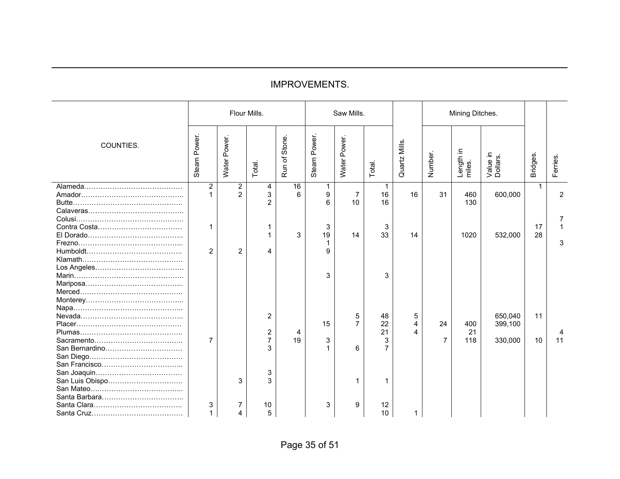# IMPROVEMENTS.

|                 |                                         |                                           | Flour Mills.                               |                    |                   | Saw Mills.               |                          |              |         | Mining Ditches.     |                               |          |                |
|-----------------|-----------------------------------------|-------------------------------------------|--------------------------------------------|--------------------|-------------------|--------------------------|--------------------------|--------------|---------|---------------------|-------------------------------|----------|----------------|
| COUNTIES.       | Steam Power                             | <b>Water Power</b>                        | Total.                                     | Stone.<br>৳<br>Run | Steam Power.      | Water Power.             | Total.                   | Quartz Mills | Number. | Length in<br>miles. | Value in<br>Dollars.          | Bridges. | Ferries.       |
|                 | $\overline{\mathbf{c}}$<br>$\mathbf{1}$ | $\overline{\mathbf{c}}$<br>$\overline{2}$ | 4<br>3<br>$\overline{2}$                   | 16<br>6            | 1.<br>9<br>6      | $\overline{7}$<br>10     | 1<br>16<br>16            | 16           | 31      | 460<br>130          | 600,000                       | 1        | $\overline{2}$ |
|                 | 1<br>$\overline{2}$                     | $\overline{2}$                            | 1<br>4                                     | 3                  | 3<br>19<br>1<br>9 | 14                       | 3<br>33                  | 14           |         | 1020                | 532,000                       | 17<br>28 | 3              |
|                 |                                         |                                           |                                            |                    | 3                 |                          | 3                        |              |         |                     |                               |          |                |
|                 | 7                                       |                                           | $\overline{2}$<br>2<br>$\overline{7}$<br>3 | 19                 | 15<br>3           | 5<br>$\overline{7}$<br>6 | 48<br>22<br>21<br>3<br>7 | 5<br>4<br>4  | 24<br>7 | 400<br>21<br>118    | 650,040<br>399,100<br>330,000 | 11<br>10 | 11             |
| San Luis Obispo |                                         | 3                                         | 3<br>3                                     |                    |                   | 1                        | 1                        |              |         |                     |                               |          |                |
|                 | 3<br>$\mathbf{1}$                       | 7<br>4                                    | 10<br>5                                    |                    | 3                 | 9                        | 12<br>10                 |              |         |                     |                               |          |                |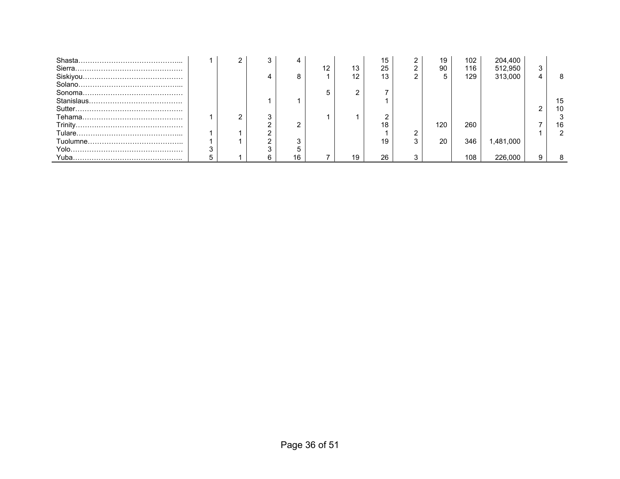|  |  |  |    | 15 | 19  | 102 | 204,400   |    |
|--|--|--|----|----|-----|-----|-----------|----|
|  |  |  | 13 | 25 | 90  | 116 | 512,950   |    |
|  |  |  | 12 | 13 |     | 129 | 313,000   |    |
|  |  |  |    |    |     |     |           |    |
|  |  |  | C  |    |     |     |           |    |
|  |  |  |    |    |     |     |           | 15 |
|  |  |  |    |    |     |     |           |    |
|  |  |  |    |    |     |     |           |    |
|  |  |  |    | 18 | 120 | 260 |           | 16 |
|  |  |  |    |    |     |     |           |    |
|  |  |  |    | 19 | 20  | 346 | 1,481,000 |    |
|  |  |  |    |    |     |     |           |    |
|  |  |  | 19 | 26 |     | 108 | 226.000   |    |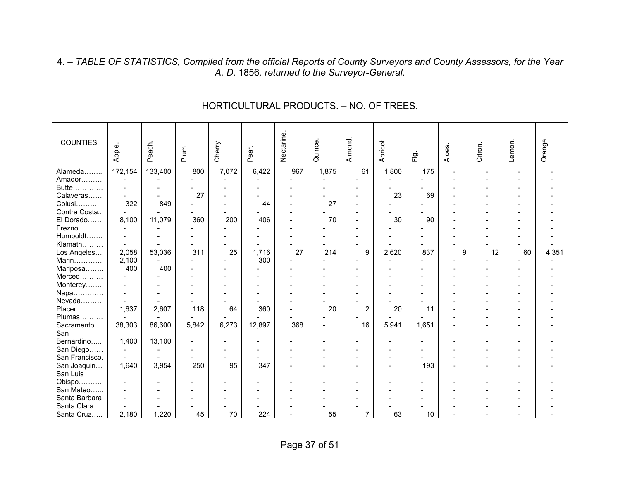4. – *TABLE OF STATISTICS, Compiled from the official Reports of County Surveyors and County Assessors, for the Year A. D.* 1856*, returned to the Surveyor-General.*

| COUNTIES.      | Apple.  | Peach.  | Plum. | Cherry. | Pear.  | Nectarine | Quince. | Almond.        | Apricot. | 。<br>Lig        | Aloes.         | Citron. | Lemon. | Orange. |
|----------------|---------|---------|-------|---------|--------|-----------|---------|----------------|----------|-----------------|----------------|---------|--------|---------|
| Alameda        | 172,154 | 133,400 | 800   | 7,072   | 6,422  | 967       | 1,875   | 61             | 1,800    | $\frac{1}{175}$ | $\blacksquare$ |         |        |         |
| Amador         |         |         |       |         |        |           |         |                |          |                 |                |         |        |         |
| Butte          |         |         |       |         |        |           |         |                |          |                 |                |         |        |         |
| Calaveras      |         |         | 27    |         |        |           |         |                | 23       | 69              |                |         |        |         |
| Colusi         | 322     | 849     |       |         | 44     |           | 27      |                |          |                 |                |         |        |         |
| Contra Costa   |         |         |       |         |        |           |         |                |          |                 |                |         |        |         |
| El Dorado      | 8,100   | 11,079  | 360   | 200     | 406    |           | 70      |                | 30       | 90              |                |         |        |         |
| Frezno         |         |         |       |         |        |           |         |                |          |                 |                |         |        |         |
| Humboldt       |         |         |       |         |        |           |         |                |          |                 |                |         |        |         |
| Klamath        |         |         |       |         |        |           |         |                |          |                 |                |         |        |         |
| Los Angeles    | 2,058   | 53,036  | 311   | 25      | 1,716  | 27        | 214     | 9              | 2,620    | 837             | 9              | 12      | 60     | 4,351   |
| Marin          | 2,100   |         |       |         | 300    |           |         |                |          |                 |                |         |        |         |
| Mariposa       | 400     | 400     |       |         |        |           |         |                |          |                 |                |         |        |         |
| Merced         |         |         |       |         |        |           |         |                |          |                 |                |         |        |         |
| Monterey       |         |         |       |         |        |           |         |                |          |                 |                |         |        |         |
| Napa           | ۳       |         |       |         |        |           |         |                |          |                 |                |         |        |         |
| Nevada         |         |         |       |         |        |           |         |                |          |                 |                |         |        |         |
| Placer         | 1,637   | 2,607   | 118   | 64      | 360    |           | 20      | 2              | 20       | 11              |                |         |        |         |
| Plumas         |         |         |       |         |        |           |         |                |          |                 |                |         |        |         |
| Sacramento     | 38,303  | 86,600  | 5,842 | 6,273   | 12,897 | 368       |         | 16             | 5,941    | 1,651           |                |         |        |         |
| San            |         |         |       |         |        |           |         |                |          |                 |                |         |        |         |
| Bernardino     | 1,400   | 13,100  |       |         |        |           |         |                |          |                 |                |         |        |         |
| San Diego      |         |         |       |         |        |           |         |                |          |                 |                |         |        |         |
| San Francisco. |         |         |       |         |        |           |         |                |          |                 |                |         |        |         |
| San Joaquin    | 1,640   | 3,954   | 250   | 95      | 347    |           |         |                |          | 193             |                |         |        |         |
| San Luis       |         |         |       |         |        |           |         |                |          |                 |                |         |        |         |
| Obispo         |         |         |       |         |        |           |         |                |          |                 |                |         |        |         |
| San Mateo      |         |         |       |         |        |           |         |                |          |                 |                |         |        |         |
| Santa Barbara  |         |         |       |         |        |           |         |                |          |                 |                |         |        |         |
| Santa Clara    |         |         |       |         |        |           |         |                |          |                 |                |         |        |         |
| Santa Cruz     | 2,180   | 1,220   | 45    | 70      | 224    |           | 55      | $\overline{7}$ | 63       | 10              |                |         |        |         |

# HORTICULTURAL PRODUCTS. – NO. OF TREES.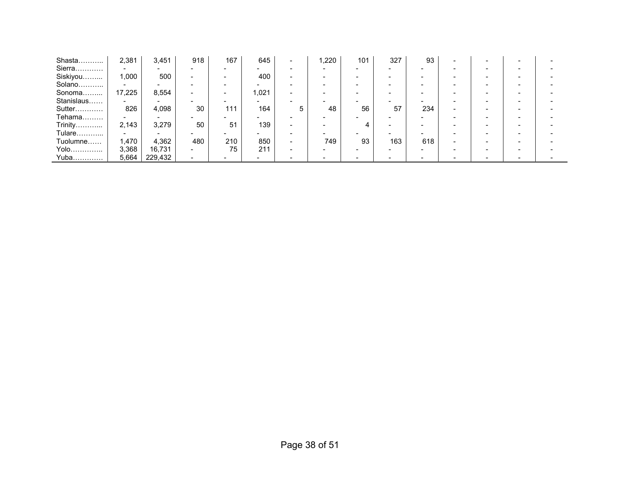| Shasta     | 2,381  | 3,451                    | 918 | 167 | 645                      |   | ,220 | 101                      | 327 | 93  | $\overline{\phantom{0}}$ |                          |  |
|------------|--------|--------------------------|-----|-----|--------------------------|---|------|--------------------------|-----|-----|--------------------------|--------------------------|--|
| Sierra     |        |                          |     |     |                          |   |      |                          |     |     | $\sim$                   |                          |  |
| Siskiyou   | 1,000  | 500                      |     |     | 400                      |   |      |                          |     |     | -                        |                          |  |
| Solano     |        |                          |     |     | $\overline{\phantom{0}}$ |   |      | -                        |     |     | $\overline{\phantom{0}}$ | $\overline{\phantom{0}}$ |  |
| Sonoma     | 17,225 | 8,554                    |     |     | 1,021                    |   |      |                          |     |     |                          |                          |  |
| Stanislaus |        |                          |     |     |                          |   |      |                          |     |     |                          |                          |  |
| Sutter     | 826    | 4,098                    | 30  | 111 | 164                      | 5 | 48   | 56                       | 57  | 234 | $\overline{\phantom{0}}$ | -                        |  |
| Tehama     |        | $\overline{\phantom{0}}$ |     |     | $\overline{\phantom{0}}$ |   |      |                          |     |     | -                        | -                        |  |
| Trinity    | 2,143  | 3,279                    | 50  | 51  | 139                      |   |      |                          |     |     |                          |                          |  |
| Tulare     |        |                          |     |     | $\overline{\phantom{0}}$ |   |      | $\overline{\phantom{0}}$ |     |     | $\overline{\phantom{0}}$ | $\overline{\phantom{0}}$ |  |
| Tuolumne   | 1,470  | 4,362                    | 480 | 210 | 850                      |   | 749  | 93                       | 163 | 618 | $\overline{\phantom{0}}$ | $\overline{\phantom{0}}$ |  |
| Yolo       | 3,368  | 16,731                   |     | 75  | 211                      |   |      |                          |     |     |                          |                          |  |
| Yuba       | 5,664  | 229,432                  |     |     |                          |   |      |                          |     |     | $\overline{\phantom{0}}$ | -                        |  |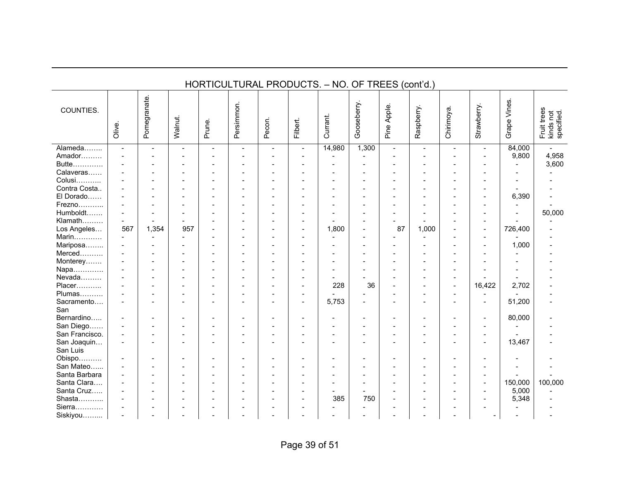|                |                          |                |                          |                          |                          |                          |                          | HORTICULTURAL PRODUCTS. - NO. OF TREES (cont'd.) |                |                          |                          |                          |                          |                          |                                        |
|----------------|--------------------------|----------------|--------------------------|--------------------------|--------------------------|--------------------------|--------------------------|--------------------------------------------------|----------------|--------------------------|--------------------------|--------------------------|--------------------------|--------------------------|----------------------------------------|
| COUNTIES.      | Olive.                   | Pomegranate.   | Walnut.                  | Prune.                   | Persimmon.               | Pecon.                   | Filbert.                 | Currant.                                         | Gooseberry.    | Pine Apple.              | Raspberry.               | Chirimoya.               | Strawberry.              | Grape Vines.             | Fruit trees<br>kinds not<br>specified. |
| Alameda        | $\blacksquare$           | $\blacksquare$ | $\sim$                   | $\sim$                   | $\blacksquare$           | $\overline{\phantom{a}}$ | $\overline{\phantom{a}}$ | 14,980                                           | 1,300          | $\blacksquare$           | $\blacksquare$           | $\overline{\phantom{a}}$ | $\overline{\phantom{a}}$ | 84,000                   |                                        |
| Amador         | $\overline{\phantom{a}}$ |                | $\overline{\phantom{a}}$ | $\blacksquare$           |                          |                          | $\overline{\phantom{a}}$ |                                                  |                | $\overline{\phantom{a}}$ |                          |                          | $\overline{\phantom{a}}$ | 9,800                    | 4,958                                  |
| Butte          | $\overline{\phantom{a}}$ |                | $\overline{\phantom{a}}$ | $\blacksquare$           |                          | ۰                        | $\overline{\phantom{a}}$ |                                                  |                | $\overline{\phantom{a}}$ | ۰                        |                          | $\overline{\phantom{a}}$ | $\overline{\phantom{a}}$ | 3,600                                  |
| Calaveras      | $\overline{\phantom{a}}$ |                | $\blacksquare$           | $\overline{\phantom{a}}$ |                          |                          | $\overline{\phantom{a}}$ |                                                  |                | $\overline{\phantom{a}}$ | $\overline{a}$           |                          |                          |                          |                                        |
| Colusi         | $\overline{\phantom{a}}$ |                | ÷                        | $\overline{\phantom{0}}$ |                          |                          | ۰                        |                                                  |                | $\overline{\phantom{a}}$ |                          |                          |                          | $\overline{\phantom{0}}$ |                                        |
| Contra Costa   | $\overline{\phantom{a}}$ |                | $\overline{\phantom{a}}$ | $\overline{\phantom{a}}$ |                          |                          | $\overline{a}$           |                                                  |                | $\overline{\phantom{a}}$ | $\overline{a}$           |                          | $\overline{\phantom{a}}$ | $\blacksquare$           |                                        |
| El Dorado      | $\blacksquare$           |                |                          | $\blacksquare$           |                          |                          | $\overline{\phantom{a}}$ |                                                  |                | $\overline{\phantom{a}}$ | $\overline{\phantom{a}}$ |                          | $\overline{\phantom{a}}$ | 6,390                    |                                        |
| Frezno         | $\overline{\phantom{a}}$ |                |                          | $\blacksquare$           |                          |                          | $\blacksquare$           |                                                  |                | $\blacksquare$           |                          |                          | $\overline{\phantom{a}}$ |                          |                                        |
| Humboldt       | $\overline{\phantom{a}}$ |                |                          | $\blacksquare$           |                          |                          | $\blacksquare$           |                                                  |                | $\overline{\phantom{0}}$ | $\overline{a}$           |                          |                          | $\overline{a}$           | 50,000                                 |
| Klamath        | $\overline{\phantom{a}}$ |                |                          | $\overline{a}$           |                          |                          | $\blacksquare$           |                                                  |                | $\overline{a}$           |                          |                          | $\overline{a}$           |                          |                                        |
| Los Angeles    | 567                      | 1,354          | 957                      | $\equiv$                 | $\overline{\phantom{0}}$ |                          | $\blacksquare$           | 1,800                                            | $\overline{a}$ | 87                       | 1,000                    |                          | $\sim$                   | 726,400                  |                                        |
| Marin          | $\overline{\phantom{a}}$ |                | $\overline{\phantom{a}}$ | $\overline{\phantom{a}}$ |                          |                          | $\overline{\phantom{a}}$ |                                                  | $\blacksquare$ | $\overline{\phantom{a}}$ |                          |                          | $\overline{\phantom{a}}$ |                          |                                        |
| Mariposa       | $\overline{\phantom{a}}$ |                |                          | $\blacksquare$           |                          |                          | $\blacksquare$           |                                                  |                |                          | L.                       |                          | $\overline{\phantom{a}}$ | 1,000                    |                                        |
| Merced         | $\blacksquare$           |                |                          | $\overline{\phantom{0}}$ |                          |                          | ۰                        |                                                  |                | $\overline{\phantom{0}}$ | $\overline{a}$           |                          |                          |                          |                                        |
| Monterey       | $\overline{\phantom{a}}$ |                | ÷                        | $\overline{a}$           |                          |                          | ۰                        |                                                  |                | $\overline{\phantom{a}}$ | $\overline{\phantom{a}}$ |                          |                          |                          |                                        |
| Napa           | $\blacksquare$           |                | ÷                        | $\overline{\phantom{0}}$ |                          |                          | $\overline{\phantom{0}}$ |                                                  |                | $\overline{\phantom{0}}$ | ۳                        |                          |                          |                          |                                        |
| Nevada         | $\blacksquare$           |                | ÷                        | $\overline{\phantom{0}}$ |                          |                          | $\overline{\phantom{0}}$ |                                                  |                | $\overline{\phantom{0}}$ | $\overline{a}$           | $\overline{\phantom{0}}$ |                          | $\overline{\phantom{0}}$ |                                        |
| Placer         | $\overline{\phantom{a}}$ |                |                          | $\blacksquare$           |                          |                          | $\overline{\phantom{a}}$ | 228                                              | 36             | $\overline{\phantom{a}}$ | ۰                        | $\overline{\phantom{a}}$ | 16,422                   | 2,702                    |                                        |
| Plumas         | $\blacksquare$           |                |                          |                          |                          |                          | $\blacksquare$           |                                                  |                |                          |                          |                          |                          |                          |                                        |
| Sacramento     | $\blacksquare$           |                | $\overline{a}$           | $\blacksquare$           | $\overline{a}$           | $\overline{\phantom{0}}$ | $\blacksquare$           | 5,753                                            | $\overline{a}$ | $\blacksquare$           | ÷                        | $\overline{\phantom{a}}$ | $\sim$                   | 51,200                   |                                        |
| San            |                          |                |                          |                          |                          |                          |                          |                                                  |                |                          |                          |                          |                          |                          |                                        |
| Bernardino     | $\blacksquare$           |                | $\blacksquare$           | $\blacksquare$           |                          | ۰                        | $\blacksquare$           |                                                  | ٠              | $\overline{\phantom{a}}$ | ٠                        |                          | $\overline{\phantom{a}}$ | 80,000                   |                                        |
| San Diego      |                          |                | ۰                        | $\overline{\phantom{0}}$ |                          |                          | ٠                        |                                                  |                | $\overline{\phantom{a}}$ | $\overline{a}$           |                          | $\overline{\phantom{a}}$ |                          |                                        |
| San Francisco. | $\overline{\phantom{a}}$ |                | $\overline{a}$           | $\equiv$                 |                          | ÷                        | $\overline{a}$           |                                                  | $\overline{a}$ | $\overline{\phantom{0}}$ | $\overline{a}$           |                          | $\overline{\phantom{a}}$ |                          |                                        |
| San Joaquin    | $\overline{\phantom{a}}$ |                | $\overline{a}$           | $\overline{\phantom{a}}$ | $\overline{a}$           | $\overline{a}$           | $\blacksquare$           |                                                  | $\overline{a}$ | $\blacksquare$           | $\overline{\phantom{0}}$ | $\equiv$                 | $\sim$                   | 13,467                   |                                        |
| San Luis       |                          |                |                          |                          |                          |                          |                          |                                                  |                |                          |                          |                          |                          |                          |                                        |
| Obispo         | $\overline{\phantom{a}}$ |                | $\overline{a}$           | $\overline{\phantom{a}}$ |                          |                          | $\overline{\phantom{a}}$ |                                                  |                | $\overline{\phantom{a}}$ |                          |                          |                          | ۰                        |                                        |
| San Mateo      |                          |                |                          | $\blacksquare$           |                          |                          | ۰                        |                                                  |                |                          |                          |                          |                          |                          |                                        |
| Santa Barbara  | $\overline{a}$           |                |                          | ÷                        |                          |                          |                          |                                                  |                |                          |                          |                          | $\overline{\phantom{0}}$ |                          |                                        |
| Santa Clara    | $\overline{\phantom{a}}$ |                | ÷                        | $\blacksquare$           |                          |                          | $\blacksquare$           |                                                  |                | $\overline{\phantom{0}}$ | ۳                        |                          | $\overline{\phantom{a}}$ | 150,000                  | 100,000                                |
| Santa Cruz     | $\overline{\phantom{a}}$ |                | $\overline{\phantom{0}}$ | $\blacksquare$           |                          |                          | $\overline{\phantom{a}}$ |                                                  | $\blacksquare$ | $\blacksquare$           | ۳                        |                          | $\overline{\phantom{a}}$ | 5,000                    |                                        |
| Shasta         | $\blacksquare$           |                | $\overline{a}$           | $\blacksquare$           |                          |                          | $\blacksquare$           | 385                                              | 750            | $\blacksquare$           | $\blacksquare$           |                          | $\sim$                   | 5,348                    |                                        |
| Sierra         | $\overline{\phantom{a}}$ |                |                          |                          |                          |                          | $\overline{a}$           |                                                  |                |                          |                          |                          |                          |                          |                                        |
| Siskiyou       | $\overline{a}$           |                |                          |                          |                          |                          | $\overline{a}$           |                                                  | $\overline{a}$ |                          |                          |                          | $\overline{\phantom{0}}$ | $\blacksquare$           |                                        |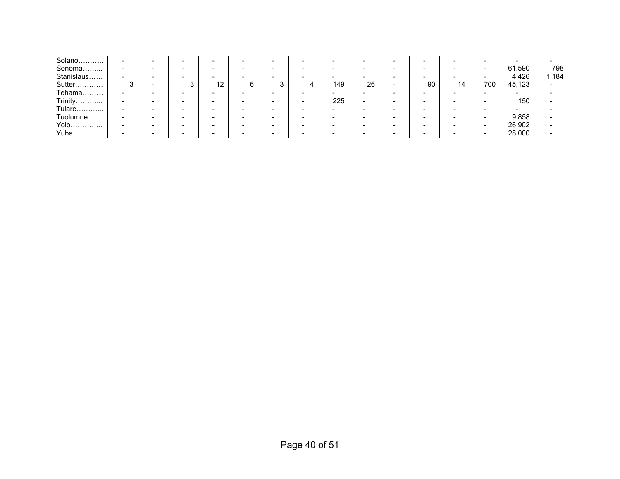| Solano     | $\overline{\phantom{0}}$ |  | $\sim$                   | $\overline{\phantom{0}}$ | $\sim$                   | $\overline{\phantom{0}}$ | $\sim$                   | $\overline{\phantom{0}}$ | -  | $\overline{\phantom{0}}$ | $\sim$                   | $\overline{\phantom{0}}$ |                          |
|------------|--------------------------|--|--------------------------|--------------------------|--------------------------|--------------------------|--------------------------|--------------------------|----|--------------------------|--------------------------|--------------------------|--------------------------|
| Sonoma     | -                        |  |                          | $\overline{\phantom{0}}$ |                          |                          | $\overline{\phantom{0}}$ |                          |    |                          | $\overline{\phantom{0}}$ | 61,590                   | 798                      |
| Stanislaus | -                        |  | $-$                      | $\overline{\phantom{0}}$ |                          | $\overline{\phantom{0}}$ | $\sim$                   |                          |    |                          | $\overline{\phantom{a}}$ | 4,426                    | .184                     |
| Sutter     |                          |  | $12 \overline{ }$        | 6                        |                          | 149                      | 26                       |                          | 90 | 14                       | 700                      | 45,123                   | $\overline{\phantom{a}}$ |
| Tehama     | $\overline{\phantom{0}}$ |  |                          | $\overline{\phantom{0}}$ |                          | $\overline{\phantom{a}}$ | $\overline{\phantom{0}}$ |                          |    |                          | $\overline{\phantom{0}}$ | $\overline{\phantom{0}}$ |                          |
| Trinity    | $\overline{\phantom{0}}$ |  | $\overline{\phantom{0}}$ | $\overline{\phantom{0}}$ |                          | 225                      | $\sim$                   |                          |    | $\overline{\phantom{a}}$ | $\sim$                   | 150                      |                          |
| Tulare     | $\overline{\phantom{0}}$ |  | $\sim$                   | $\overline{\phantom{0}}$ | $\overline{\phantom{a}}$ | $\overline{\phantom{0}}$ | $\overline{\phantom{0}}$ |                          |    | $\overline{\phantom{0}}$ | $\overline{\phantom{0}}$ | $\overline{\phantom{0}}$ |                          |
| Tuolumne   | $\overline{\phantom{0}}$ |  | -                        | $\overline{\phantom{0}}$ |                          |                          | $\overline{\phantom{0}}$ |                          |    | $\overline{\phantom{0}}$ | $\overline{\phantom{0}}$ | 9,858                    |                          |
| Yolo       | $\overline{\phantom{0}}$ |  | $\sim$                   | $\overline{\phantom{0}}$ |                          | $\overline{\phantom{0}}$ | $\overline{\phantom{0}}$ |                          |    |                          | $\overline{\phantom{0}}$ | 26,902                   |                          |
| Yuba       | -                        |  | -                        | $\overline{\phantom{0}}$ |                          |                          |                          |                          |    |                          | $\overline{\phantom{0}}$ | 28,000                   |                          |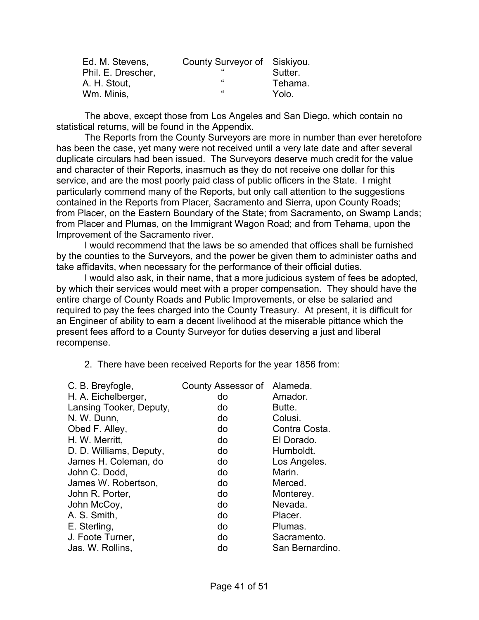| Ed. M. Stevens,    | County Surveyor of Siskiyou. |         |
|--------------------|------------------------------|---------|
| Phil. E. Drescher, | "                            | Sutter. |
| A. H. Stout.       | "                            | Tehama. |
| Wm. Minis,         | "                            | Yolo.   |

 The above, except those from Los Angeles and San Diego, which contain no statistical returns, will be found in the Appendix.

 The Reports from the County Surveyors are more in number than ever heretofore has been the case, yet many were not received until a very late date and after several duplicate circulars had been issued. The Surveyors deserve much credit for the value and character of their Reports, inasmuch as they do not receive one dollar for this service, and are the most poorly paid class of public officers in the State. I might particularly commend many of the Reports, but only call attention to the suggestions contained in the Reports from Placer, Sacramento and Sierra, upon County Roads; from Placer, on the Eastern Boundary of the State; from Sacramento, on Swamp Lands; from Placer and Plumas, on the Immigrant Wagon Road; and from Tehama, upon the Improvement of the Sacramento river.

 I would recommend that the laws be so amended that offices shall be furnished by the counties to the Surveyors, and the power be given them to administer oaths and take affidavits, when necessary for the performance of their official duties.

 I would also ask, in their name, that a more judicious system of fees be adopted, by which their services would meet with a proper compensation. They should have the entire charge of County Roads and Public Improvements, or else be salaried and required to pay the fees charged into the County Treasury. At present, it is difficult for an Engineer of ability to earn a decent livelihood at the miserable pittance which the present fees afford to a County Surveyor for duties deserving a just and liberal recompense.

2. There have been received Reports for the year 1856 from:

| C. B. Breyfogle,        | County Assessor of | Alameda.        |
|-------------------------|--------------------|-----------------|
| H. A. Eichelberger,     | do                 | Amador.         |
| Lansing Tooker, Deputy, | do                 | Butte.          |
| N. W. Dunn,             | do                 | Colusi.         |
| Obed F. Alley,          | do                 | Contra Costa.   |
| H. W. Merritt,          | do                 | El Dorado.      |
| D. D. Williams, Deputy, | do                 | Humboldt.       |
| James H. Coleman, do    | do                 | Los Angeles.    |
| John C. Dodd,           | do                 | Marin.          |
| James W. Robertson,     | do                 | Merced.         |
| John R. Porter,         | do                 | Monterey.       |
| John McCoy,             | do                 | Nevada.         |
| A. S. Smith,            | do                 | Placer.         |
| E. Sterling,            | do                 | Plumas.         |
| J. Foote Turner,        | do                 | Sacramento.     |
| Jas. W. Rollins,        | do                 | San Bernardino. |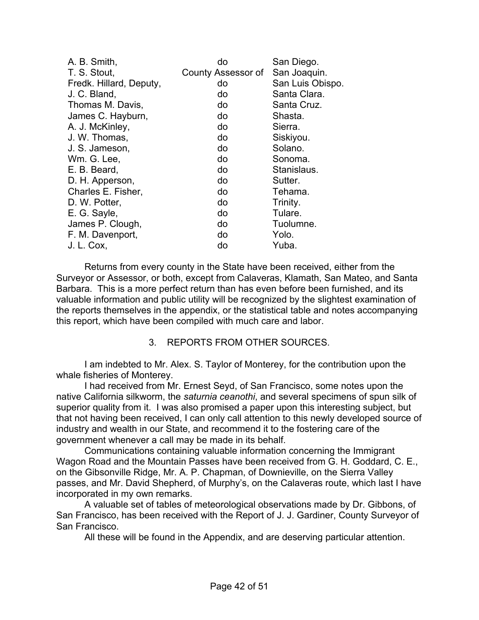| A. B. Smith,            | do                 | San Diego.       |
|-------------------------|--------------------|------------------|
| T. S. Stout,            | County Assessor of | San Joaquin.     |
| Fredk. Hillard, Deputy, | do                 | San Luis Obispo. |
| J. C. Bland,            | do                 | Santa Clara.     |
| Thomas M. Davis,        | do                 | Santa Cruz.      |
| James C. Hayburn,       | do                 | Shasta.          |
| A. J. McKinley,         | do                 | Sierra.          |
| J. W. Thomas,           | do                 | Siskiyou.        |
| J. S. Jameson,          | do                 | Solano.          |
| Wm. G. Lee,             | do                 | Sonoma.          |
| E. B. Beard,            | do                 | Stanislaus.      |
| D. H. Apperson,         | do                 | Sutter.          |
| Charles E. Fisher,      | do                 | Tehama.          |
| D. W. Potter,           | do                 | Trinity.         |
| E. G. Sayle,            | do                 | Tulare.          |
| James P. Clough,        | do                 | Tuolumne.        |
| F. M. Davenport,        | do                 | Yolo.            |
| J. L. Cox,              | do                 | Yuba.            |

 Returns from every county in the State have been received, either from the Surveyor or Assessor, or both, except from Calaveras, Klamath, San Mateo, and Santa Barbara. This is a more perfect return than has even before been furnished, and its valuable information and public utility will be recognized by the slightest examination of the reports themselves in the appendix, or the statistical table and notes accompanying this report, which have been compiled with much care and labor.

# 3. REPORTS FROM OTHER SOURCES.

 I am indebted to Mr. Alex. S. Taylor of Monterey, for the contribution upon the whale fisheries of Monterey.

 I had received from Mr. Ernest Seyd, of San Francisco, some notes upon the native California silkworm, the *saturnia ceanothi*, and several specimens of spun silk of superior quality from it. I was also promised a paper upon this interesting subject, but that not having been received, I can only call attention to this newly developed source of industry and wealth in our State, and recommend it to the fostering care of the government whenever a call may be made in its behalf.

 Communications containing valuable information concerning the Immigrant Wagon Road and the Mountain Passes have been received from G. H. Goddard, C. E., on the Gibsonville Ridge, Mr. A. P. Chapman, of Downieville, on the Sierra Valley passes, and Mr. David Shepherd, of Murphy's, on the Calaveras route, which last I have incorporated in my own remarks.

 A valuable set of tables of meteorological observations made by Dr. Gibbons, of San Francisco, has been received with the Report of J. J. Gardiner, County Surveyor of San Francisco.

All these will be found in the Appendix, and are deserving particular attention.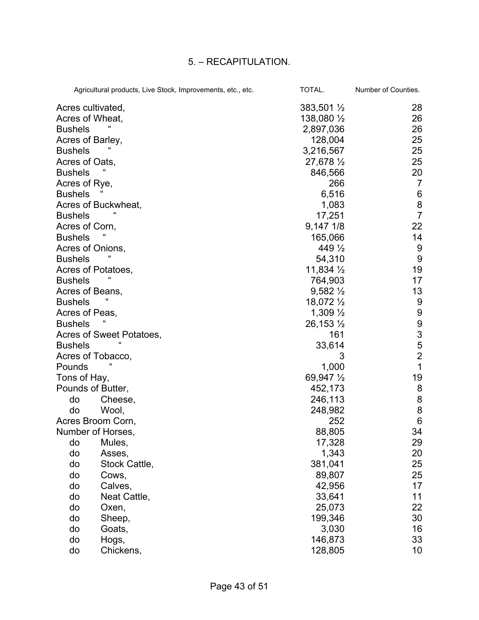# 5. – RECAPITULATION.

|                          | Agricultural products, Live Stock, Improvements, etc., etc. | TOTAL.               | Number of Counties.                        |
|--------------------------|-------------------------------------------------------------|----------------------|--------------------------------------------|
|                          | Acres cultivated,                                           | 383,501 1/2          | 28                                         |
| Acres of Wheat,          |                                                             | 138,080 1/2          | 26                                         |
| <b>Bushels</b>           |                                                             | 2,897,036            | 26                                         |
| Acres of Barley,         |                                                             | 128,004              | 25                                         |
| <b>Bushels</b>           |                                                             | 3,216,567            | 25                                         |
| Acres of Oats,           |                                                             | 27,678 1/2           | 25                                         |
| <b>Bushels</b>           |                                                             | 846,566              | 20                                         |
| Acres of Rye,            |                                                             | 266                  | 7                                          |
| <b>Bushels</b>           |                                                             | 6,516                | $6\phantom{1}6$                            |
|                          | Acres of Buckwheat,                                         | 1,083                | 8                                          |
| <b>Bushels</b>           |                                                             | 17,251               | $\overline{7}$                             |
| Acres of Corn,           |                                                             | 9,147 1/8            | 22                                         |
| <b>Bushels</b>           |                                                             | 165,066              | 14                                         |
|                          | Acres of Onions,                                            | 449 $\frac{1}{2}$    | 9                                          |
| <b>Bushels</b>           |                                                             | 54,310               | 9                                          |
|                          | Acres of Potatoes,                                          | 11,834 $\frac{1}{2}$ | 19                                         |
| <b>Bushels</b>           |                                                             | 764,903              | 17                                         |
| Acres of Beans,          |                                                             | $9,582\frac{1}{2}$   | 13                                         |
| <b>Bushels</b>           |                                                             | 18,072 1/2           | 9                                          |
| Acres of Peas,           |                                                             | 1,309 $\frac{1}{2}$  | 9                                          |
| <b>Bushels</b>           |                                                             | 26,153 1/2           | 9                                          |
| Acres of Sweet Potatoes, |                                                             | 161                  |                                            |
| <b>Bushels</b>           |                                                             | 33,614               | $\begin{array}{c} 3 \\ 5 \\ 2 \end{array}$ |
|                          | Acres of Tobacco,                                           | 3                    |                                            |
| Pounds                   |                                                             | 1,000                | $\mathbf{1}$                               |
| Tons of Hay,             |                                                             | 69,947 $\frac{1}{2}$ | 19                                         |
| Pounds of Butter,        |                                                             | 452,173              | 8                                          |
| do                       | Cheese,                                                     | 246,113              | 8                                          |
| do                       | Wool,                                                       | 248,982              | $\bf 8$                                    |
| Acres Broom Corn,        |                                                             | 252                  | $6\phantom{1}6$                            |
| Number of Horses,        |                                                             | 88,805               | 34                                         |
| do                       | Mules,                                                      | 17,328               | 29                                         |
| do                       | Asses,                                                      | 1,343                | 20                                         |
| do                       | Stock Cattle,                                               | 381,041              | 25                                         |
| do                       | Cows,                                                       | 89,807               | 25                                         |
| do                       | Calves,                                                     | 42,956               | 17                                         |
| do                       | Neat Cattle,                                                | 33,641               | 11                                         |
| do                       | Oxen,                                                       | 25,073               | 22                                         |
| do                       | Sheep,                                                      | 199,346              | 30                                         |
| do                       | Goats,                                                      | 3,030                | 16                                         |
| do                       | Hogs,                                                       | 146,873              | 33                                         |
| do                       | Chickens,                                                   | 128,805              | 10                                         |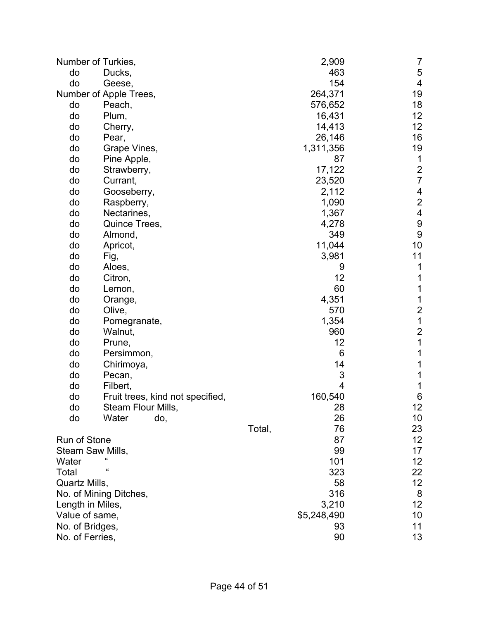| Number of Turkies,     |                                  |        | 2,909          | 7                                     |
|------------------------|----------------------------------|--------|----------------|---------------------------------------|
| do                     | Ducks,                           |        | 463            | $\mathbf 5$                           |
| do                     | Geese,                           |        | 154            | $\overline{\mathbf{4}}$               |
| Number of Apple Trees, |                                  |        | 264,371        | 19                                    |
| do                     | Peach,                           |        | 576,652        | 18                                    |
| do                     | Plum,                            |        | 16,431         | 12                                    |
| do                     | Cherry,                          |        | 14,413         | 12                                    |
| do                     | Pear,                            |        | 26,146         | 16                                    |
| do                     | Grape Vines,                     |        | 1,311,356      | 19                                    |
| do                     | Pine Apple,                      |        | 87             | $\mathbf 1$                           |
| do                     | Strawberry,                      |        | 17,122         |                                       |
| do                     | Currant,                         |        | 23,520         | $\frac{2}{7}$                         |
| do                     | Gooseberry,                      |        | 2,112          | $\overline{\mathcal{A}}$              |
| do                     | Raspberry,                       |        | 1,090          |                                       |
| do                     | Nectarines,                      |        | 1,367          | $\frac{2}{4}$                         |
| do                     | Quince Trees,                    |        | 4,278          | $\boldsymbol{9}$                      |
| do                     | Almond,                          |        | 349            | 9                                     |
| do                     | Apricot,                         |        | 11,044         | 10                                    |
| do                     | Fig,                             |        | 3,981          | 11                                    |
| do                     | Aloes,                           |        | 9              | 1                                     |
| do                     | Citron,                          |        | 12             | 1                                     |
| do                     | Lemon,                           |        | 60             | 1                                     |
| do                     | Orange,                          |        | 4,351          | 1                                     |
| do                     | Olive,                           |        | 570            |                                       |
| do                     | Pomegranate,                     |        | 1,354          | $\begin{array}{c} 2 \\ 1 \end{array}$ |
| do                     | Walnut,                          |        | 960            | $\overline{2}$                        |
| do                     | Prune,                           |        | 12             | $\overline{1}$                        |
| do                     | Persimmon,                       |        | 6              | $\mathbf 1$                           |
| do                     | Chirimoya,                       |        | 14             | 1                                     |
| do                     | Pecan,                           |        | 3              | 1                                     |
| do                     | Filbert,                         |        | $\overline{4}$ | 1                                     |
| do                     | Fruit trees, kind not specified, |        | 160,540        | $6\phantom{1}6$                       |
| do                     | Steam Flour Mills,               |        | 28             | 12                                    |
| do                     | Water<br>do,                     |        | 26             | 10                                    |
|                        |                                  | Total, | 76             | 23                                    |
| Run of Stone           |                                  |        | 87             | 12                                    |
| Steam Saw Mills,       |                                  |        | 99             | 17                                    |
| Water                  |                                  |        | 101            | 12                                    |
| Total                  |                                  |        | 323            | 22                                    |
| Quartz Mills,          |                                  |        | 58             | 12                                    |
| No. of Mining Ditches, |                                  |        | 316            | 8                                     |
| Length in Miles,       |                                  |        | 3,210          | 12                                    |
| Value of same,         |                                  |        | \$5,248,490    | 10                                    |
| No. of Bridges,        |                                  |        | 93             | 11                                    |
| No. of Ferries,        |                                  |        | 90             | 13                                    |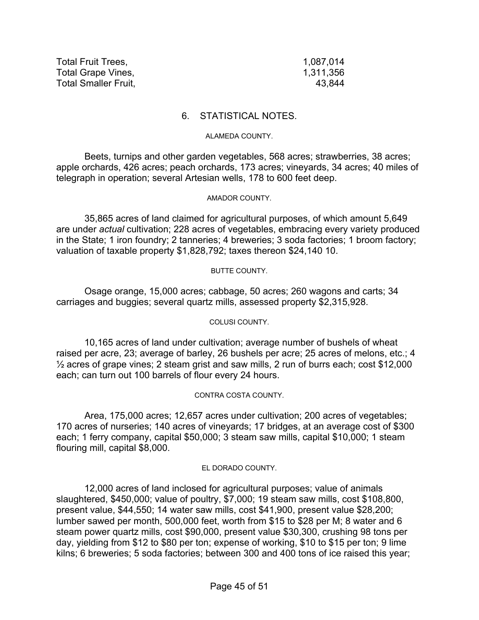| <b>Total Fruit Trees.</b>   | 1,087,014 |
|-----------------------------|-----------|
| Total Grape Vines,          | 1,311,356 |
| <b>Total Smaller Fruit.</b> | 43.844    |

### 6. STATISTICAL NOTES.

#### ALAMEDA COUNTY.

 Beets, turnips and other garden vegetables, 568 acres; strawberries, 38 acres; apple orchards, 426 acres; peach orchards, 173 acres; vineyards, 34 acres; 40 miles of telegraph in operation; several Artesian wells, 178 to 600 feet deep.

#### AMADOR COUNTY.

 35,865 acres of land claimed for agricultural purposes, of which amount 5,649 are under *actual* cultivation; 228 acres of vegetables, embracing every variety produced in the State; 1 iron foundry; 2 tanneries; 4 breweries; 3 soda factories; 1 broom factory; valuation of taxable property \$1,828,792; taxes thereon \$24,140 10.

#### BUTTE COUNTY.

 Osage orange, 15,000 acres; cabbage, 50 acres; 260 wagons and carts; 34 carriages and buggies; several quartz mills, assessed property \$2,315,928.

#### COLUSI COUNTY.

 10,165 acres of land under cultivation; average number of bushels of wheat raised per acre, 23; average of barley, 26 bushels per acre; 25 acres of melons, etc.; 4 ½ acres of grape vines; 2 steam grist and saw mills, 2 run of burrs each; cost \$12,000 each; can turn out 100 barrels of flour every 24 hours.

#### CONTRA COSTA COUNTY.

 Area, 175,000 acres; 12,657 acres under cultivation; 200 acres of vegetables; 170 acres of nurseries; 140 acres of vineyards; 17 bridges, at an average cost of \$300 each; 1 ferry company, capital \$50,000; 3 steam saw mills, capital \$10,000; 1 steam flouring mill, capital \$8,000.

#### EL DORADO COUNTY.

 12,000 acres of land inclosed for agricultural purposes; value of animals slaughtered, \$450,000; value of poultry, \$7,000; 19 steam saw mills, cost \$108,800, present value, \$44,550; 14 water saw mills, cost \$41,900, present value \$28,200; lumber sawed per month, 500,000 feet, worth from \$15 to \$28 per M; 8 water and 6 steam power quartz mills, cost \$90,000, present value \$30,300, crushing 98 tons per day, yielding from \$12 to \$80 per ton; expense of working, \$10 to \$15 per ton; 9 lime kilns; 6 breweries; 5 soda factories; between 300 and 400 tons of ice raised this year;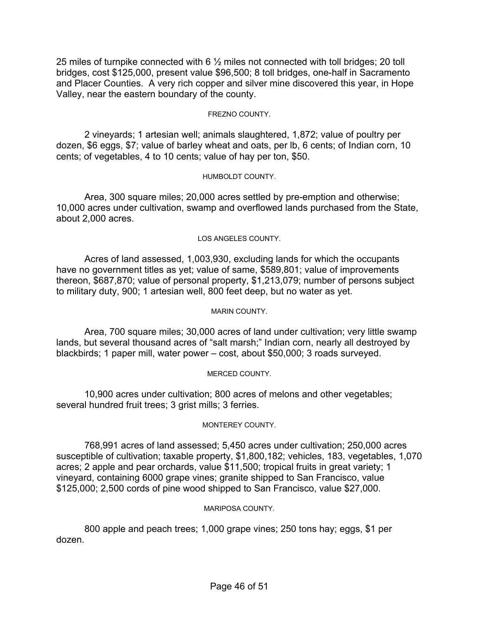25 miles of turnpike connected with 6  $\frac{1}{2}$  miles not connected with toll bridges; 20 toll bridges, cost \$125,000, present value \$96,500; 8 toll bridges, one-half in Sacramento and Placer Counties. A very rich copper and silver mine discovered this year, in Hope Valley, near the eastern boundary of the county.

#### FREZNO COUNTY.

 2 vineyards; 1 artesian well; animals slaughtered, 1,872; value of poultry per dozen, \$6 eggs, \$7; value of barley wheat and oats, per lb, 6 cents; of Indian corn, 10 cents; of vegetables, 4 to 10 cents; value of hay per ton, \$50.

#### HUMBOLDT COUNTY.

 Area, 300 square miles; 20,000 acres settled by pre-emption and otherwise; 10,000 acres under cultivation, swamp and overflowed lands purchased from the State, about 2,000 acres.

#### LOS ANGELES COUNTY.

 Acres of land assessed, 1,003,930, excluding lands for which the occupants have no government titles as yet; value of same, \$589,801; value of improvements thereon, \$687,870; value of personal property, \$1,213,079; number of persons subject to military duty, 900; 1 artesian well, 800 feet deep, but no water as yet.

#### MARIN COUNTY.

 Area, 700 square miles; 30,000 acres of land under cultivation; very little swamp lands, but several thousand acres of "salt marsh;" Indian corn, nearly all destroyed by blackbirds; 1 paper mill, water power – cost, about \$50,000; 3 roads surveyed.

#### MERCED COUNTY.

 10,900 acres under cultivation; 800 acres of melons and other vegetables; several hundred fruit trees; 3 grist mills; 3 ferries.

#### MONTEREY COUNTY.

 768,991 acres of land assessed; 5,450 acres under cultivation; 250,000 acres susceptible of cultivation; taxable property, \$1,800,182; vehicles, 183, vegetables, 1,070 acres; 2 apple and pear orchards, value \$11,500; tropical fruits in great variety; 1 vineyard, containing 6000 grape vines; granite shipped to San Francisco, value \$125,000; 2,500 cords of pine wood shipped to San Francisco, value \$27,000.

#### MARIPOSA COUNTY.

 800 apple and peach trees; 1,000 grape vines; 250 tons hay; eggs, \$1 per dozen.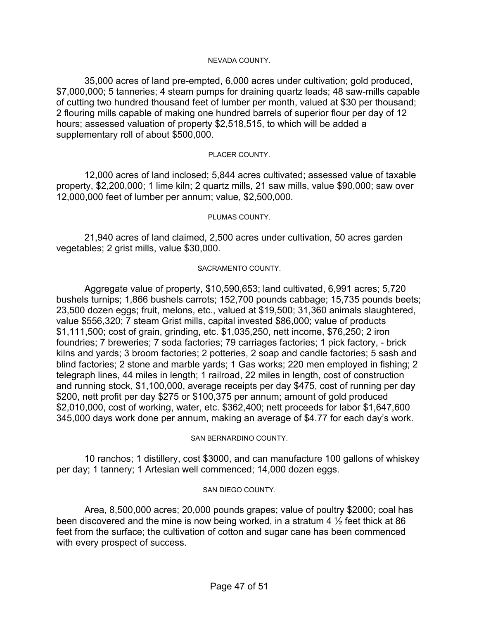#### NEVADA COUNTY.

 35,000 acres of land pre-empted, 6,000 acres under cultivation; gold produced, \$7,000,000; 5 tanneries; 4 steam pumps for draining quartz leads; 48 saw-mills capable of cutting two hundred thousand feet of lumber per month, valued at \$30 per thousand; 2 flouring mills capable of making one hundred barrels of superior flour per day of 12 hours; assessed valuation of property \$2,518,515, to which will be added a supplementary roll of about \$500,000.

#### PLACER COUNTY.

 12,000 acres of land inclosed; 5,844 acres cultivated; assessed value of taxable property, \$2,200,000; 1 lime kiln; 2 quartz mills, 21 saw mills, value \$90,000; saw over 12,000,000 feet of lumber per annum; value, \$2,500,000.

#### PLUMAS COUNTY.

 21,940 acres of land claimed, 2,500 acres under cultivation, 50 acres garden vegetables; 2 grist mills, value \$30,000.

#### SACRAMENTO COUNTY.

 Aggregate value of property, \$10,590,653; land cultivated, 6,991 acres; 5,720 bushels turnips; 1,866 bushels carrots; 152,700 pounds cabbage; 15,735 pounds beets; 23,500 dozen eggs; fruit, melons, etc., valued at \$19,500; 31,360 animals slaughtered, value \$556,320; 7 steam Grist mills, capital invested \$86,000; value of products \$1,111,500; cost of grain, grinding, etc. \$1,035,250, nett income, \$76,250; 2 iron foundries; 7 breweries; 7 soda factories; 79 carriages factories; 1 pick factory, - brick kilns and yards; 3 broom factories; 2 potteries, 2 soap and candle factories; 5 sash and blind factories; 2 stone and marble yards; 1 Gas works; 220 men employed in fishing; 2 telegraph lines, 44 miles in length; 1 railroad, 22 miles in length, cost of construction and running stock, \$1,100,000, average receipts per day \$475, cost of running per day \$200, nett profit per day \$275 or \$100,375 per annum; amount of gold produced \$2,010,000, cost of working, water, etc. \$362,400; nett proceeds for labor \$1,647,600 345,000 days work done per annum, making an average of \$4.77 for each day's work.

#### SAN BERNARDINO COUNTY.

 10 ranchos; 1 distillery, cost \$3000, and can manufacture 100 gallons of whiskey per day; 1 tannery; 1 Artesian well commenced; 14,000 dozen eggs.

#### SAN DIEGO COUNTY.

 Area, 8,500,000 acres; 20,000 pounds grapes; value of poultry \$2000; coal has been discovered and the mine is now being worked, in a stratum 4 ½ feet thick at 86 feet from the surface; the cultivation of cotton and sugar cane has been commenced with every prospect of success.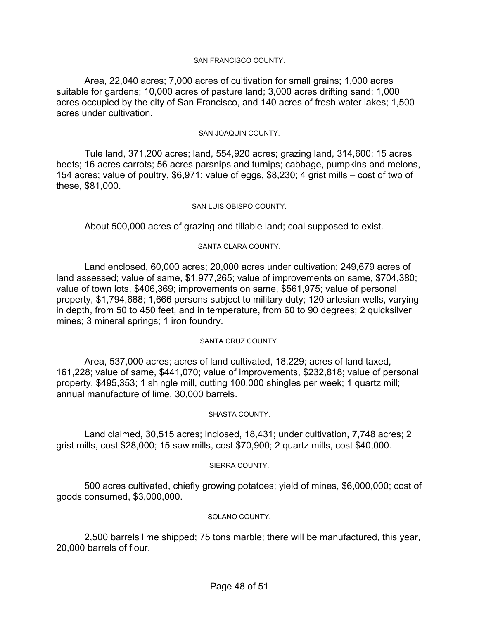#### SAN FRANCISCO COUNTY.

 Area, 22,040 acres; 7,000 acres of cultivation for small grains; 1,000 acres suitable for gardens; 10,000 acres of pasture land; 3,000 acres drifting sand; 1,000 acres occupied by the city of San Francisco, and 140 acres of fresh water lakes; 1,500 acres under cultivation.

#### SAN JOAQUIN COUNTY.

 Tule land, 371,200 acres; land, 554,920 acres; grazing land, 314,600; 15 acres beets; 16 acres carrots; 56 acres parsnips and turnips; cabbage, pumpkins and melons, 154 acres; value of poultry, \$6,971; value of eggs, \$8,230; 4 grist mills – cost of two of these, \$81,000.

#### SAN LUIS OBISPO COUNTY.

About 500,000 acres of grazing and tillable land; coal supposed to exist.

#### SANTA CLARA COUNTY.

 Land enclosed, 60,000 acres; 20,000 acres under cultivation; 249,679 acres of land assessed; value of same, \$1,977,265; value of improvements on same, \$704,380; value of town lots, \$406,369; improvements on same, \$561,975; value of personal property, \$1,794,688; 1,666 persons subject to military duty; 120 artesian wells, varying in depth, from 50 to 450 feet, and in temperature, from 60 to 90 degrees; 2 quicksilver mines; 3 mineral springs; 1 iron foundry.

#### SANTA CRUZ COUNTY.

 Area, 537,000 acres; acres of land cultivated, 18,229; acres of land taxed, 161,228; value of same, \$441,070; value of improvements, \$232,818; value of personal property, \$495,353; 1 shingle mill, cutting 100,000 shingles per week; 1 quartz mill; annual manufacture of lime, 30,000 barrels.

#### SHASTA COUNTY.

 Land claimed, 30,515 acres; inclosed, 18,431; under cultivation, 7,748 acres; 2 grist mills, cost \$28,000; 15 saw mills, cost \$70,900; 2 quartz mills, cost \$40,000.

#### SIERRA COUNTY.

 500 acres cultivated, chiefly growing potatoes; yield of mines, \$6,000,000; cost of goods consumed, \$3,000,000.

#### SOLANO COUNTY.

 2,500 barrels lime shipped; 75 tons marble; there will be manufactured, this year, 20,000 barrels of flour.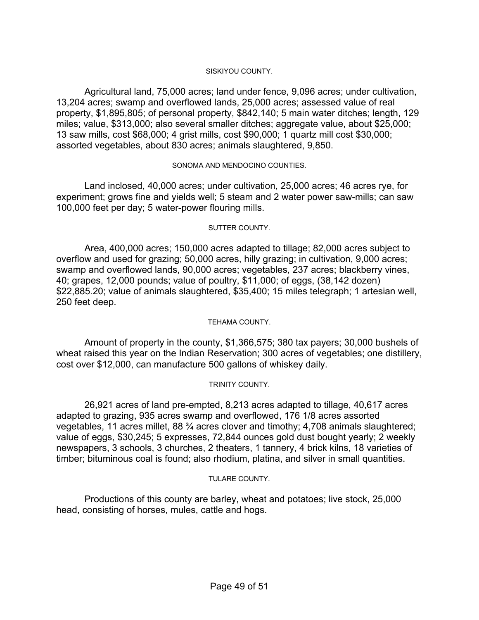#### SISKIYOU COUNTY.

 Agricultural land, 75,000 acres; land under fence, 9,096 acres; under cultivation, 13,204 acres; swamp and overflowed lands, 25,000 acres; assessed value of real property, \$1,895,805; of personal property, \$842,140; 5 main water ditches; length, 129 miles; value, \$313,000; also several smaller ditches; aggregate value, about \$25,000; 13 saw mills, cost \$68,000; 4 grist mills, cost \$90,000; 1 quartz mill cost \$30,000; assorted vegetables, about 830 acres; animals slaughtered, 9,850.

#### SONOMA AND MENDOCINO COUNTIES.

 Land inclosed, 40,000 acres; under cultivation, 25,000 acres; 46 acres rye, for experiment; grows fine and yields well; 5 steam and 2 water power saw-mills; can saw 100,000 feet per day; 5 water-power flouring mills.

#### SUTTER COUNTY.

 Area, 400,000 acres; 150,000 acres adapted to tillage; 82,000 acres subject to overflow and used for grazing; 50,000 acres, hilly grazing; in cultivation, 9,000 acres; swamp and overflowed lands, 90,000 acres; vegetables, 237 acres; blackberry vines, 40; grapes, 12,000 pounds; value of poultry, \$11,000; of eggs, (38,142 dozen) \$22,885.20; value of animals slaughtered, \$35,400; 15 miles telegraph; 1 artesian well, 250 feet deep.

#### TEHAMA COUNTY.

 Amount of property in the county, \$1,366,575; 380 tax payers; 30,000 bushels of wheat raised this year on the Indian Reservation; 300 acres of vegetables; one distillery, cost over \$12,000, can manufacture 500 gallons of whiskey daily.

#### TRINITY COUNTY.

 26,921 acres of land pre-empted, 8,213 acres adapted to tillage, 40,617 acres adapted to grazing, 935 acres swamp and overflowed, 176 1/8 acres assorted vegetables, 11 acres millet, 88 ¾ acres clover and timothy; 4,708 animals slaughtered; value of eggs, \$30,245; 5 expresses, 72,844 ounces gold dust bought yearly; 2 weekly newspapers, 3 schools, 3 churches, 2 theaters, 1 tannery, 4 brick kilns, 18 varieties of timber; bituminous coal is found; also rhodium, platina, and silver in small quantities.

#### TULARE COUNTY.

 Productions of this county are barley, wheat and potatoes; live stock, 25,000 head, consisting of horses, mules, cattle and hogs.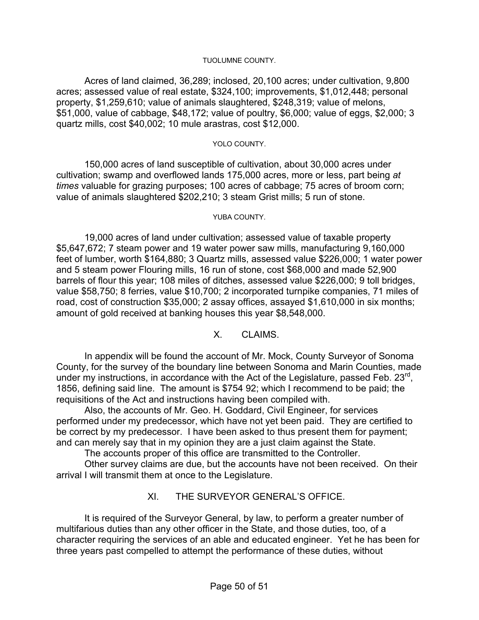#### TUOLUMNE COUNTY.

 Acres of land claimed, 36,289; inclosed, 20,100 acres; under cultivation, 9,800 acres; assessed value of real estate, \$324,100; improvements, \$1,012,448; personal property, \$1,259,610; value of animals slaughtered, \$248,319; value of melons, \$51,000, value of cabbage, \$48,172; value of poultry, \$6,000; value of eggs, \$2,000; 3 quartz mills, cost \$40,002; 10 mule arastras, cost \$12,000.

#### YOLO COUNTY.

 150,000 acres of land susceptible of cultivation, about 30,000 acres under cultivation; swamp and overflowed lands 175,000 acres, more or less, part being *at times* valuable for grazing purposes; 100 acres of cabbage; 75 acres of broom corn; value of animals slaughtered \$202,210; 3 steam Grist mills; 5 run of stone.

#### YUBA COUNTY.

 19,000 acres of land under cultivation; assessed value of taxable property \$5,647,672; 7 steam power and 19 water power saw mills, manufacturing 9,160,000 feet of lumber, worth \$164,880; 3 Quartz mills, assessed value \$226,000; 1 water power and 5 steam power Flouring mills, 16 run of stone, cost \$68,000 and made 52,900 barrels of flour this year; 108 miles of ditches, assessed value \$226,000; 9 toll bridges, value \$58,750; 8 ferries, value \$10,700; 2 incorporated turnpike companies, 71 miles of road, cost of construction \$35,000; 2 assay offices, assayed \$1,610,000 in six months; amount of gold received at banking houses this year \$8,548,000.

# X CLAIMS

In appendix will be found the account of Mr. Mock, County Surveyor of Sonoma County, for the survey of the boundary line between Sonoma and Marin Counties, made under my instructions, in accordance with the Act of the Legislature, passed Feb.  $23^{\text{rd}}$ , 1856, defining said line. The amount is \$754 92; which I recommend to be paid; the requisitions of the Act and instructions having been compiled with.

 Also, the accounts of Mr. Geo. H. Goddard, Civil Engineer, for services performed under my predecessor, which have not yet been paid. They are certified to be correct by my predecessor. I have been asked to thus present them for payment; and can merely say that in my opinion they are a just claim against the State.

The accounts proper of this office are transmitted to the Controller.

 Other survey claims are due, but the accounts have not been received. On their arrival I will transmit them at once to the Legislature.

# XI. THE SURVEYOR GENERAL'S OFFICE.

It is required of the Surveyor General, by law, to perform a greater number of multifarious duties than any other officer in the State, and those duties, too, of a character requiring the services of an able and educated engineer. Yet he has been for three years past compelled to attempt the performance of these duties, without